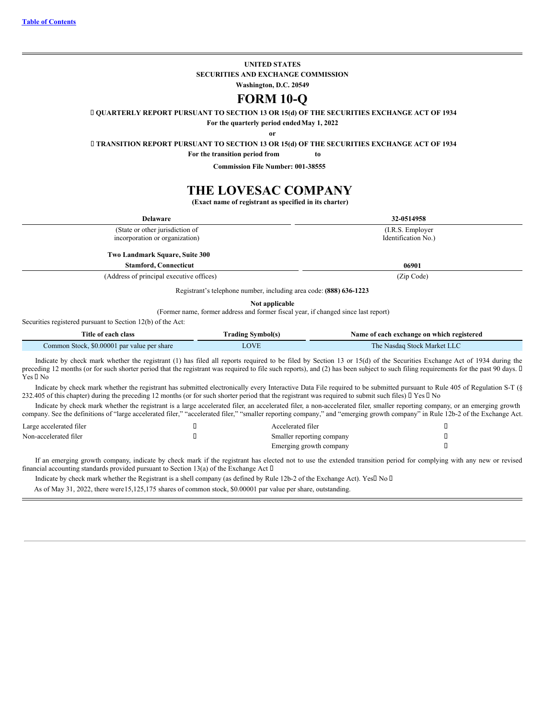#### **UNITED STATES**

**SECURITIES AND EXCHANGE COMMISSION**

**Washington, D.C. 20549**

# **FORM 10-Q**

**QUARTERLY REPORT PURSUANT TO SECTION 13 OR 15(d) OF THE SECURITIES EXCHANGE ACT OF 1934**

**For the quarterly period endedMay 1, 2022**

**or**

**TRANSITION REPORT PURSUANT TO SECTION 13 OR 15(d) OF THE SECURITIES EXCHANGE ACT OF 1934**

**For the transition period from to**

**Commission File Number: 001-38555**

# **THE LOVESAC COMPANY**

**(Exact name of registrant as specified in its charter)**

| <b>Delaware</b>                                                    | 32-0514958          |  |  |  |  |
|--------------------------------------------------------------------|---------------------|--|--|--|--|
| (State or other jurisdiction of                                    | (I.R.S. Employer)   |  |  |  |  |
| incorporation or organization)                                     | Identification No.) |  |  |  |  |
| Two Landmark Square, Suite 300                                     |                     |  |  |  |  |
| <b>Stamford, Connecticut</b>                                       | 06901               |  |  |  |  |
| (Address of principal executive offices)                           | (Zip Code)          |  |  |  |  |
| Registrant's telephone number, including area code: (888) 636-1223 |                     |  |  |  |  |
| $\mathbf{r}$ . The set of $\mathbf{r}$                             |                     |  |  |  |  |

**Not applicable**

(Former name, former address and former fiscal year, if changed since last report)

Securities registered pursuant to Section 12(b) of the Act:

| class<br>each                                             | -<br>Symbol(s)<br>radıng | Aame -<br>registered<br>each exchange on<br>-which<br>$\sim$ $\sim$ $\sim$ $\sim$ |
|-----------------------------------------------------------|--------------------------|-----------------------------------------------------------------------------------|
| \$0,0000<br>ommon<br>share<br>i Stock<br>value per<br>par | LOVE                     | <b>Stock</b><br>r ne-<br>Market<br>Nasdad<br>$\mathbf{1}$                         |

Indicate by check mark whether the registrant (1) has filed all reports required to be filed by Section 13 or 15(d) of the Securities Exchange Act of 1934 during the preceding 12 months (or for such shorter period that the registrant was required to file such reports), and (2) has been subject to such filing requirements for the past 90 days. I Yes II No

Indicate by check mark whether the registrant has submitted electronically every Interactive Data File required to be submitted pursuant to Rule 405 of Regulation S-T (§ 232.405 of this chapter) during the preceding 12 months (or for such shorter period that the registrant was required to submit such files) I Yes II No

Indicate by check mark whether the registrant is a large accelerated filer, an accelerated filer, a non-accelerated filer, smaller reporting company, or an emerging growth company. See the definitions of "large accelerated filer," "accelerated filer," "smaller reporting company," and "emerging growth company" in Rule 12b-2 of the Exchange Act.

| Large accelerated filer | Accelerated filer         |  |
|-------------------------|---------------------------|--|
| Non-accelerated filer   | Smaller reporting company |  |
|                         | Emerging growth company   |  |

If an emerging growth company, indicate by check mark if the registrant has elected not to use the extended transition period for complying with any new or revised financial accounting standards provided pursuant to Section 13(a) of the Exchange Act  $\square$ 

Indicate by check mark whether the Registrant is a shell company (as defined by Rule 12b-2 of the Exchange Act). Yes INo I

<span id="page-0-0"></span>As of May 31, 2022, there were15,125,175 shares of common stock, \$0.00001 par value per share, outstanding.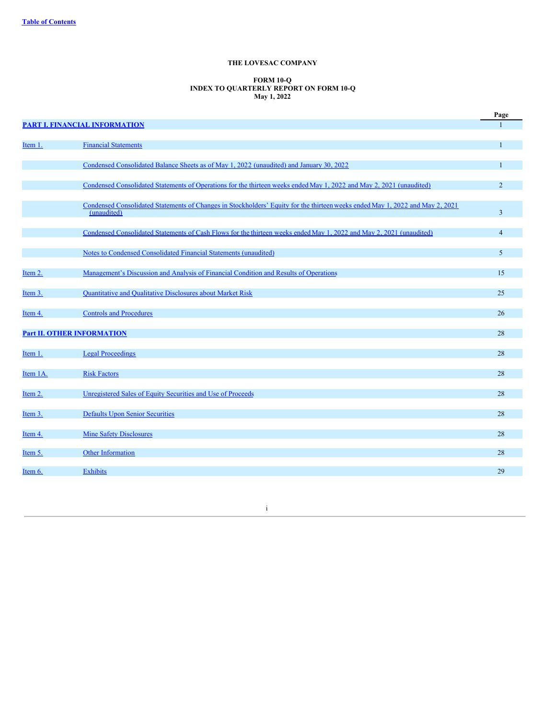#### **FORM 10-Q INDEX TO QUARTERLY REPORT ON FORM 10-Q May 1, 2022**

|          |                                                                                                                                              | Page           |
|----------|----------------------------------------------------------------------------------------------------------------------------------------------|----------------|
|          | <b>PART I. FINANCIAL INFORMATION</b>                                                                                                         |                |
|          |                                                                                                                                              |                |
| Item 1.  | <b>Financial Statements</b>                                                                                                                  |                |
|          |                                                                                                                                              |                |
|          | Condensed Consolidated Balance Sheets as of May 1, 2022 (unaudited) and January 30, 2022                                                     |                |
|          |                                                                                                                                              |                |
|          | Condensed Consolidated Statements of Operations for the thirteen weeks ended May 1, 2022 and May 2, 2021 (unaudited)                         | 2              |
|          |                                                                                                                                              |                |
|          | Condensed Consolidated Statements of Changes in Stockholders' Equity for the thirteen weeks ended May 1, 2022 and May 2, 2021<br>(unaudited) | $\overline{3}$ |
|          |                                                                                                                                              |                |
|          | Condensed Consolidated Statements of Cash Flows for the thirteen weeks ended May 1, 2022 and May 2, 2021 (unaudited)                         | $\overline{4}$ |
|          |                                                                                                                                              |                |
|          | <b>Notes to Condensed Consolidated Financial Statements (unaudited)</b>                                                                      | 5              |
|          |                                                                                                                                              |                |
| Item 2.  | Management's Discussion and Analysis of Financial Condition and Results of Operations                                                        | 15             |
|          |                                                                                                                                              |                |
| Item 3.  | Quantitative and Qualitative Disclosures about Market Risk                                                                                   | 25             |
|          |                                                                                                                                              |                |
| Item 4.  | <b>Controls and Procedures</b>                                                                                                               | 26             |
|          | <b>Part II. OTHER INFORMATION</b>                                                                                                            | 28             |
|          |                                                                                                                                              |                |
| Item 1.  | <b>Legal Proceedings</b>                                                                                                                     | 28             |
|          |                                                                                                                                              |                |
| Item 1A. | <b>Risk Factors</b>                                                                                                                          | 28             |
|          |                                                                                                                                              |                |
| Item 2.  | Unregistered Sales of Equity Securities and Use of Proceeds                                                                                  | 28             |
|          |                                                                                                                                              |                |
| Item 3.  | <b>Defaults Upon Senior Securities</b>                                                                                                       | 28             |
|          |                                                                                                                                              |                |
| Item 4.  | <b>Mine Safety Disclosures</b>                                                                                                               | 28             |
|          |                                                                                                                                              | 28             |
| Item 5.  | Other Information                                                                                                                            |                |
| Item 6.  | <b>Exhibits</b>                                                                                                                              | 29             |
|          |                                                                                                                                              |                |

i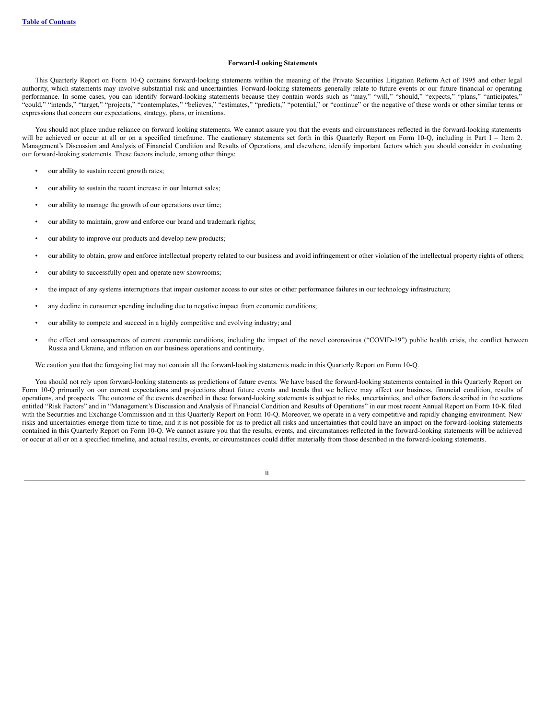#### **Forward-Looking Statements**

This Quarterly Report on Form 10-Q contains forward-looking statements within the meaning of the Private Securities Litigation Reform Act of 1995 and other legal authority, which statements may involve substantial risk and uncertainties. Forward-looking statements generally relate to future events or our future financial or operating performance. In some cases, you can identify forward-looking statements because they contain words such as "may," "will," "should," "expects," "plans," "anticipates," "could," "intends," "target," "projects," "contemplates," "believes," "estimates," "predicts," "potential," or "continue" or the negative of these words or other similar terms or expressions that concern our expectations, strategy, plans, or intentions.

You should not place undue reliance on forward looking statements. We cannot assure you that the events and circumstances reflected in the forward-looking statements will be achieved or occur at all or on a specified timeframe. The cautionary statements set forth in this Quarterly Report on Form 10-Q, including in Part I – Item 2. Management's Discussion and Analysis of Financial Condition and Results of Operations, and elsewhere, identify important factors which you should consider in evaluating our forward-looking statements. These factors include, among other things:

- our ability to sustain recent growth rates;
- our ability to sustain the recent increase in our Internet sales;
- our ability to manage the growth of our operations over time;
- our ability to maintain, grow and enforce our brand and trademark rights;
- our ability to improve our products and develop new products;
- our ability to obtain, grow and enforce intellectual property related to our business and avoid infringement or other violation of the intellectual property rights of others;
- our ability to successfully open and operate new showrooms;
- the impact of any systems interruptions that impair customer access to our sites or other performance failures in our technology infrastructure;
- any decline in consumer spending including due to negative impact from economic conditions;
- our ability to compete and succeed in a highly competitive and evolving industry; and
- the effect and consequences of current economic conditions, including the impact of the novel coronavirus ("COVID-19") public health crisis, the conflict between Russia and Ukraine, and inflation on our business operations and continuity.

We caution you that the foregoing list may not contain all the forward-looking statements made in this Quarterly Report on Form 10-Q.

You should not rely upon forward-looking statements as predictions of future events. We have based the forward-looking statements contained in this Quarterly Report on Form 10-Q primarily on our current expectations and projections about future events and trends that we believe may affect our business, financial condition, results of operations, and prospects. The outcome of the events described in these forward-looking statements is subject to risks, uncertainties, and other factors described in the sections entitled "Risk Factors" and in "Management's Discussion and Analysis of Financial Condition and Results of Operations" in our most recent Annual Report on Form 10-K filed with the Securities and Exchange Commission and in this Quarterly Report on Form 10-Q. Moreover, we operate in a very competitive and rapidly changing environment. New risks and uncertainties emerge from time to time, and it is not possible for us to predict all risks and uncertainties that could have an impact on the forward-looking statements contained in this Quarterly Report on Form 10-Q. We cannot assure you that the results, events, and circumstances reflected in the forward-looking statements will be achieved or occur at all or on a specified timeline, and actual results, events, or circumstances could differ materially from those described in the forward-looking statements.

ii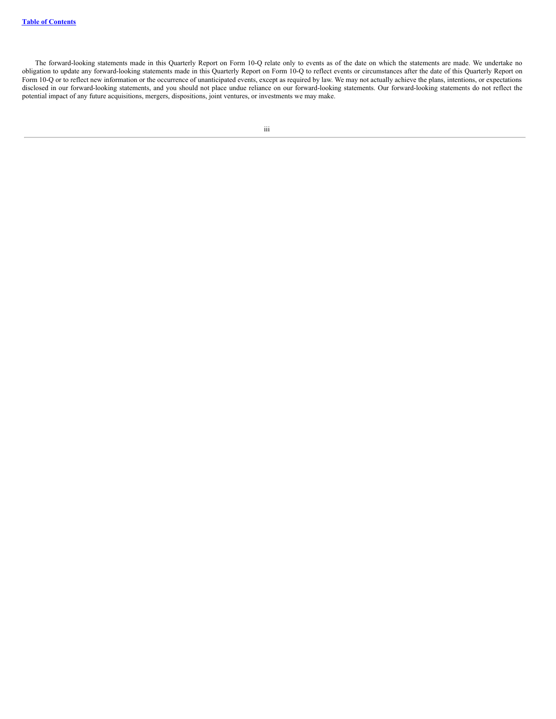<span id="page-3-0"></span>The forward-looking statements made in this Quarterly Report on Form 10-Q relate only to events as of the date on which the statements are made. We undertake no obligation to update any forward-looking statements made in this Quarterly Report on Form 10-Q to reflect events or circumstances after the date of this Quarterly Report on Form 10-Q or to reflect new information or the occurrence of unanticipated events, except as required by law. We may not actually achieve the plans, intentions, or expectations disclosed in our forward-looking statements, and you should not place undue reliance on our forward-looking statements. Our forward-looking statements do not reflect the potential impact of any future acquisitions, mergers, dispositions, joint ventures, or investments we may make.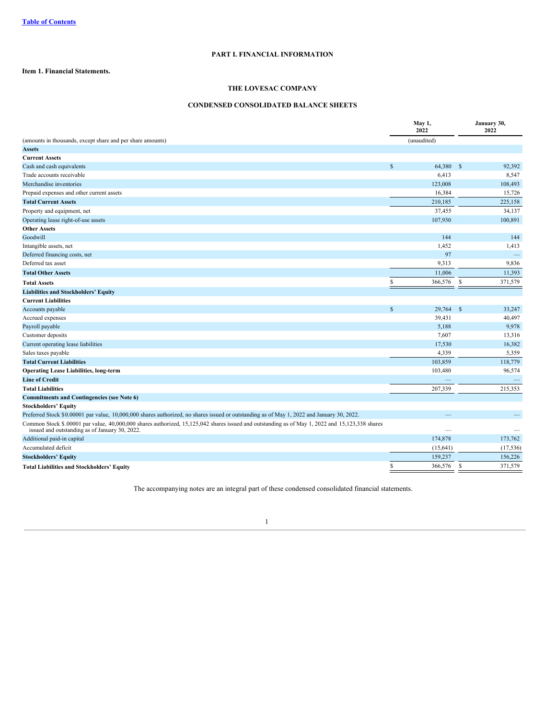# **PART I. FINANCIAL INFORMATION**

# <span id="page-4-1"></span><span id="page-4-0"></span>**Item 1. Financial Statements.**

# **THE LOVESAC COMPANY**

# **CONDENSED CONSOLIDATED BALANCE SHEETS**

|                                                                                                                                                                                                   |               | May 1,<br>2022 |              | January 30,<br>2022 |
|---------------------------------------------------------------------------------------------------------------------------------------------------------------------------------------------------|---------------|----------------|--------------|---------------------|
| (amounts in thousands, except share and per share amounts)                                                                                                                                        |               | (unaudited)    |              |                     |
| <b>Assets</b>                                                                                                                                                                                     |               |                |              |                     |
| <b>Current Assets</b>                                                                                                                                                                             |               |                |              |                     |
| Cash and cash equivalents                                                                                                                                                                         | \$            | 64,380 \$      |              | 92,392              |
| Trade accounts receivable                                                                                                                                                                         |               | 6,413          |              | 8,547               |
| Merchandise inventories                                                                                                                                                                           |               | 123,008        |              | 108,493             |
| Prepaid expenses and other current assets                                                                                                                                                         |               | 16,384         |              | 15,726              |
| <b>Total Current Assets</b>                                                                                                                                                                       |               | 210,185        |              | 225,158             |
| Property and equipment, net                                                                                                                                                                       |               | 37,455         |              | 34,137              |
| Operating lease right-of-use assets                                                                                                                                                               |               | 107,930        |              | 100,891             |
| <b>Other Assets</b>                                                                                                                                                                               |               |                |              |                     |
| Goodwill                                                                                                                                                                                          |               | 144            |              | 144                 |
| Intangible assets, net                                                                                                                                                                            |               | 1,452          |              | 1,413               |
| Deferred financing costs, net                                                                                                                                                                     |               | 97             |              |                     |
| Deferred tax asset                                                                                                                                                                                |               | 9,313          |              | 9,836               |
| <b>Total Other Assets</b>                                                                                                                                                                         |               | 11,006         |              | 11,393              |
| <b>Total Assets</b>                                                                                                                                                                               | \$            | 366,576        | $\mathbb{S}$ | 371,579             |
| <b>Liabilities and Stockholders' Equity</b>                                                                                                                                                       |               |                |              |                     |
| <b>Current Liabilities</b>                                                                                                                                                                        |               |                |              |                     |
| Accounts payable                                                                                                                                                                                  | $\mathsf{\$}$ | 29,764 \$      |              | 33,247              |
| Accrued expenses                                                                                                                                                                                  |               | 39,431         |              | 40,497              |
| Payroll payable                                                                                                                                                                                   |               | 5,188          |              | 9,978               |
| Customer deposits                                                                                                                                                                                 |               | 7,607          |              | 13,316              |
| Current operating lease liabilities                                                                                                                                                               |               | 17,530         |              | 16,382              |
| Sales taxes payable                                                                                                                                                                               |               | 4,339          |              | 5,359               |
| <b>Total Current Liabilities</b>                                                                                                                                                                  |               | 103,859        |              | 118,779             |
| <b>Operating Lease Liabilities, long-term</b>                                                                                                                                                     |               | 103,480        |              | 96,574              |
| <b>Line of Credit</b>                                                                                                                                                                             |               |                |              |                     |
| <b>Total Liabilities</b>                                                                                                                                                                          |               | 207,339        |              | 215,353             |
| <b>Commitments and Contingencies (see Note 6)</b>                                                                                                                                                 |               |                |              |                     |
| <b>Stockholders' Equity</b>                                                                                                                                                                       |               |                |              |                     |
| Preferred Stock \$0.00001 par value, 10,000,000 shares authorized, no shares issued or outstanding as of May 1, 2022 and January 30, 2022.                                                        |               |                |              |                     |
| Common Stock \$.00001 par value, 40,000,000 shares authorized, 15,125,042 shares issued and outstanding as of May 1, 2022 and 15,123,338 shares<br>issued and outstanding as of January 30, 2022. |               |                |              |                     |
| Additional paid-in capital                                                                                                                                                                        |               | 174,878        |              | 173,762             |
| Accumulated deficit                                                                                                                                                                               |               | (15, 641)      |              | (17, 536)           |
| <b>Stockholders' Equity</b>                                                                                                                                                                       |               | 159,237        |              | 156,226             |
| <b>Total Liabilities and Stockholders' Equity</b>                                                                                                                                                 | \$            | 366,576        | -S           | 371,579             |

<span id="page-4-2"></span>The accompanying notes are an integral part of these condensed consolidated financial statements.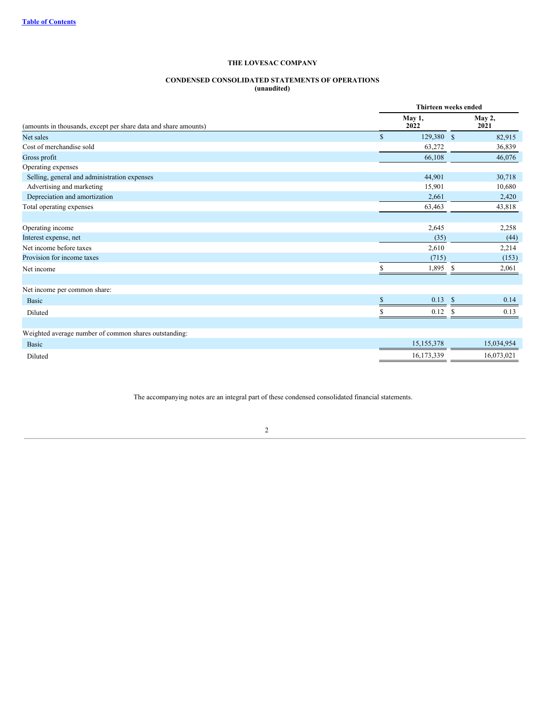# **CONDENSED CONSOLIDATED STATEMENTS OF OPERATIONS (unaudited)**

|                                                                 |                | Thirteen weeks ended          |  |  |  |  |  |  |
|-----------------------------------------------------------------|----------------|-------------------------------|--|--|--|--|--|--|
| (amounts in thousands, except per share data and share amounts) | May 1,<br>2022 | May 2,<br>2021                |  |  |  |  |  |  |
| Net sales                                                       | $\mathbb{S}$   | 129,380 \$<br>82,915          |  |  |  |  |  |  |
| Cost of merchandise sold                                        |                | 36,839<br>63,272              |  |  |  |  |  |  |
| Gross profit                                                    |                | 66,108<br>46,076              |  |  |  |  |  |  |
| Operating expenses                                              |                |                               |  |  |  |  |  |  |
| Selling, general and administration expenses                    |                | 44,901<br>30,718              |  |  |  |  |  |  |
| Advertising and marketing                                       |                | 15,901<br>10,680              |  |  |  |  |  |  |
| Depreciation and amortization                                   |                | 2,661<br>2,420                |  |  |  |  |  |  |
| Total operating expenses                                        |                | 63,463<br>43,818              |  |  |  |  |  |  |
|                                                                 |                |                               |  |  |  |  |  |  |
| Operating income                                                |                | 2,645<br>2,258                |  |  |  |  |  |  |
| Interest expense, net                                           |                | (35)<br>(44)                  |  |  |  |  |  |  |
| Net income before taxes                                         |                | 2,610<br>2,214                |  |  |  |  |  |  |
| Provision for income taxes                                      |                | (715)<br>(153)                |  |  |  |  |  |  |
| Net income                                                      |                | 1,895<br>2,061<br>\$          |  |  |  |  |  |  |
| Net income per common share:                                    |                |                               |  |  |  |  |  |  |
| <b>Basic</b>                                                    | $\mathbf{s}$   | 0.13<br><sup>\$</sup><br>0.14 |  |  |  |  |  |  |
| Diluted                                                         | S              | 0.12<br>0.13<br>\$            |  |  |  |  |  |  |
|                                                                 |                |                               |  |  |  |  |  |  |
| Weighted average number of common shares outstanding:           |                |                               |  |  |  |  |  |  |
| <b>Basic</b>                                                    |                | 15, 155, 378<br>15,034,954    |  |  |  |  |  |  |
| Diluted                                                         |                | 16,173,339<br>16,073,021      |  |  |  |  |  |  |

<span id="page-5-0"></span>The accompanying notes are an integral part of these condensed consolidated financial statements.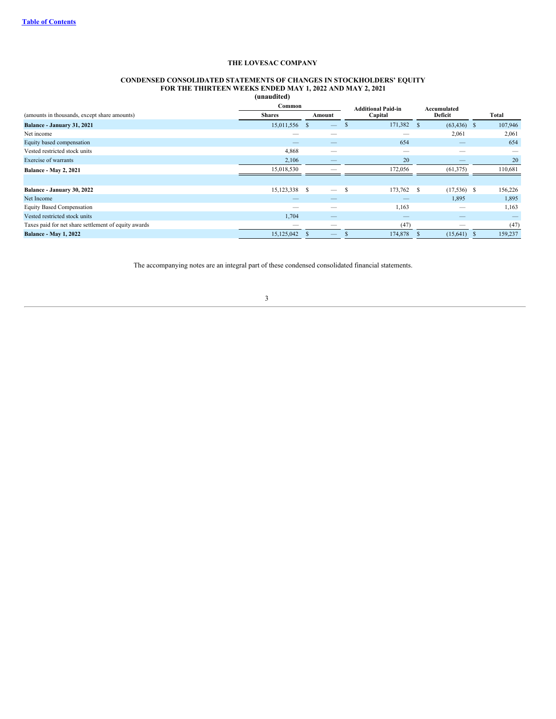# **CONDENSED CONSOLIDATED STATEMENTS OF CHANGES IN STOCKHOLDERS' EQUITY FOR THE THIRTEEN WEEKS ENDED MAY 1, 2022 AND MAY 2, 2021**

**(unaudited)**

|                                                      | Common        |        |                          | <b>Additional Paid-in</b> |         |     | Accumulated              |         |  |  |  |  |  |  |  |  |  |  |  |  |  |  |  |  |  |  |  |  |  |  |  |  |  |  |  |  |  |  |  |  |  |  |  |  |  |  |  |  |  |  |  |  |  |  |  |  |  |  |  |  |  |         |  |  |  |  |         |       |
|------------------------------------------------------|---------------|--------|--------------------------|---------------------------|---------|-----|--------------------------|---------|--|--|--|--|--|--|--|--|--|--|--|--|--|--|--|--|--|--|--|--|--|--|--|--|--|--|--|--|--|--|--|--|--|--|--|--|--|--|--|--|--|--|--|--|--|--|--|--|--|--|--|--|--|---------|--|--|--|--|---------|-------|
| (amounts in thousands, except share amounts)         | <b>Shares</b> | Amount |                          |                           |         |     |                          |         |  |  |  |  |  |  |  |  |  |  |  |  |  |  |  |  |  |  |  |  |  |  |  |  |  |  |  |  |  |  |  |  |  |  |  |  |  |  |  |  |  |  |  |  |  |  |  |  |  |  |  |  |  | Capital |  |  |  |  | Deficit | Total |
| Balance - January 31, 2021                           | 15,011,556 \$ |        |                          |                           | 171,382 |     | $(63, 436)$ \$           | 107,946 |  |  |  |  |  |  |  |  |  |  |  |  |  |  |  |  |  |  |  |  |  |  |  |  |  |  |  |  |  |  |  |  |  |  |  |  |  |  |  |  |  |  |  |  |  |  |  |  |  |  |  |  |  |         |  |  |  |  |         |       |
| Net income                                           |               |        |                          |                           |         |     | 2,061                    | 2,061   |  |  |  |  |  |  |  |  |  |  |  |  |  |  |  |  |  |  |  |  |  |  |  |  |  |  |  |  |  |  |  |  |  |  |  |  |  |  |  |  |  |  |  |  |  |  |  |  |  |  |  |  |  |         |  |  |  |  |         |       |
| Equity based compensation                            |               |        |                          |                           | 654     |     |                          | 654     |  |  |  |  |  |  |  |  |  |  |  |  |  |  |  |  |  |  |  |  |  |  |  |  |  |  |  |  |  |  |  |  |  |  |  |  |  |  |  |  |  |  |  |  |  |  |  |  |  |  |  |  |  |         |  |  |  |  |         |       |
| Vested restricted stock units                        | 4,868         |        | $\overline{\phantom{a}}$ |                           |         |     |                          |         |  |  |  |  |  |  |  |  |  |  |  |  |  |  |  |  |  |  |  |  |  |  |  |  |  |  |  |  |  |  |  |  |  |  |  |  |  |  |  |  |  |  |  |  |  |  |  |  |  |  |  |  |  |         |  |  |  |  |         |       |
| <b>Exercise of warrants</b>                          | 2,106         |        |                          |                           | 20      |     |                          | 20      |  |  |  |  |  |  |  |  |  |  |  |  |  |  |  |  |  |  |  |  |  |  |  |  |  |  |  |  |  |  |  |  |  |  |  |  |  |  |  |  |  |  |  |  |  |  |  |  |  |  |  |  |  |         |  |  |  |  |         |       |
| <b>Balance - May 2, 2021</b>                         | 15,018,530    |        |                          |                           | 172,056 |     | (61, 375)                | 110,681 |  |  |  |  |  |  |  |  |  |  |  |  |  |  |  |  |  |  |  |  |  |  |  |  |  |  |  |  |  |  |  |  |  |  |  |  |  |  |  |  |  |  |  |  |  |  |  |  |  |  |  |  |  |         |  |  |  |  |         |       |
|                                                      |               |        |                          |                           |         |     |                          |         |  |  |  |  |  |  |  |  |  |  |  |  |  |  |  |  |  |  |  |  |  |  |  |  |  |  |  |  |  |  |  |  |  |  |  |  |  |  |  |  |  |  |  |  |  |  |  |  |  |  |  |  |  |         |  |  |  |  |         |       |
| Balance - January 30, 2022                           | 15,123,338 \$ |        | $\overline{\phantom{a}}$ | <sup>\$</sup>             | 173,762 | -S  | $(17,536)$ \$            | 156,226 |  |  |  |  |  |  |  |  |  |  |  |  |  |  |  |  |  |  |  |  |  |  |  |  |  |  |  |  |  |  |  |  |  |  |  |  |  |  |  |  |  |  |  |  |  |  |  |  |  |  |  |  |  |         |  |  |  |  |         |       |
| Net Income                                           |               |        |                          |                           |         |     | 1,895                    | 1,895   |  |  |  |  |  |  |  |  |  |  |  |  |  |  |  |  |  |  |  |  |  |  |  |  |  |  |  |  |  |  |  |  |  |  |  |  |  |  |  |  |  |  |  |  |  |  |  |  |  |  |  |  |  |         |  |  |  |  |         |       |
| <b>Equity Based Compensation</b>                     |               |        | $\overline{\phantom{a}}$ |                           | 1,163   |     | $\overline{\phantom{a}}$ | 1,163   |  |  |  |  |  |  |  |  |  |  |  |  |  |  |  |  |  |  |  |  |  |  |  |  |  |  |  |  |  |  |  |  |  |  |  |  |  |  |  |  |  |  |  |  |  |  |  |  |  |  |  |  |  |         |  |  |  |  |         |       |
| Vested restricted stock units                        | 1,704         |        | $\qquad \qquad$          |                           |         |     |                          |         |  |  |  |  |  |  |  |  |  |  |  |  |  |  |  |  |  |  |  |  |  |  |  |  |  |  |  |  |  |  |  |  |  |  |  |  |  |  |  |  |  |  |  |  |  |  |  |  |  |  |  |  |  |         |  |  |  |  |         |       |
| Taxes paid for net share settlement of equity awards |               |        |                          |                           | (47)    |     |                          | (47)    |  |  |  |  |  |  |  |  |  |  |  |  |  |  |  |  |  |  |  |  |  |  |  |  |  |  |  |  |  |  |  |  |  |  |  |  |  |  |  |  |  |  |  |  |  |  |  |  |  |  |  |  |  |         |  |  |  |  |         |       |
| <b>Balance - May 1, 2022</b>                         | 15,125,042    | - 5-   | $\qquad \qquad - \qquad$ |                           | 174,878 | - 5 | $(15,641)$ \$            | 159,237 |  |  |  |  |  |  |  |  |  |  |  |  |  |  |  |  |  |  |  |  |  |  |  |  |  |  |  |  |  |  |  |  |  |  |  |  |  |  |  |  |  |  |  |  |  |  |  |  |  |  |  |  |  |         |  |  |  |  |         |       |

<span id="page-6-0"></span>The accompanying notes are an integral part of these condensed consolidated financial statements.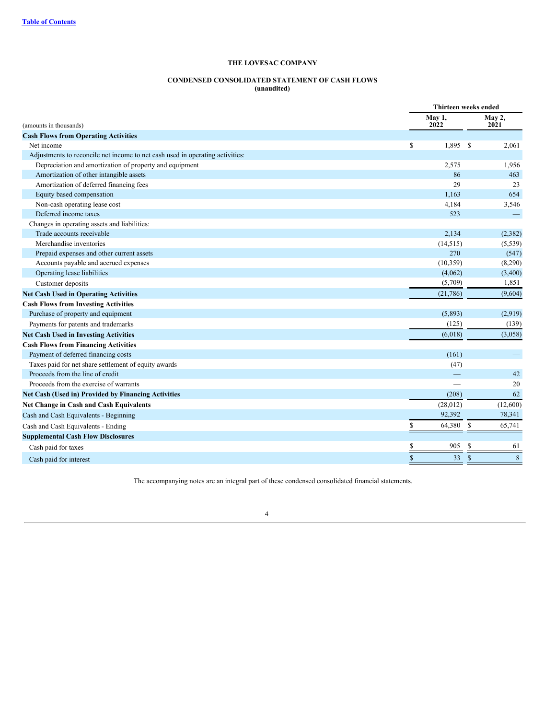# **CONDENSED CONSOLIDATED STATEMENT OF CASH FLOWS (unaudited)**

| May 1,<br>May 2,<br>2022<br>2021<br>(amounts in thousands)<br><b>Cash Flows from Operating Activities</b><br>\$<br>Net income<br>1,895<br>- S<br>2,061<br>Adjustments to reconcile net income to net cash used in operating activities:<br>Depreciation and amortization of property and equipment<br>2,575<br>1,956<br>Amortization of other intangible assets<br>86<br>463<br>Amortization of deferred financing fees<br>29<br>23<br>654<br>Equity based compensation<br>1,163<br>Non-cash operating lease cost<br>4,184<br>3,546<br>Deferred income taxes<br>523<br>Changes in operating assets and liabilities:<br>Trade accounts receivable<br>2,134<br>(2,382)<br>Merchandise inventories |
|-------------------------------------------------------------------------------------------------------------------------------------------------------------------------------------------------------------------------------------------------------------------------------------------------------------------------------------------------------------------------------------------------------------------------------------------------------------------------------------------------------------------------------------------------------------------------------------------------------------------------------------------------------------------------------------------------|
|                                                                                                                                                                                                                                                                                                                                                                                                                                                                                                                                                                                                                                                                                                 |
|                                                                                                                                                                                                                                                                                                                                                                                                                                                                                                                                                                                                                                                                                                 |
|                                                                                                                                                                                                                                                                                                                                                                                                                                                                                                                                                                                                                                                                                                 |
|                                                                                                                                                                                                                                                                                                                                                                                                                                                                                                                                                                                                                                                                                                 |
|                                                                                                                                                                                                                                                                                                                                                                                                                                                                                                                                                                                                                                                                                                 |
|                                                                                                                                                                                                                                                                                                                                                                                                                                                                                                                                                                                                                                                                                                 |
|                                                                                                                                                                                                                                                                                                                                                                                                                                                                                                                                                                                                                                                                                                 |
|                                                                                                                                                                                                                                                                                                                                                                                                                                                                                                                                                                                                                                                                                                 |
|                                                                                                                                                                                                                                                                                                                                                                                                                                                                                                                                                                                                                                                                                                 |
|                                                                                                                                                                                                                                                                                                                                                                                                                                                                                                                                                                                                                                                                                                 |
|                                                                                                                                                                                                                                                                                                                                                                                                                                                                                                                                                                                                                                                                                                 |
|                                                                                                                                                                                                                                                                                                                                                                                                                                                                                                                                                                                                                                                                                                 |
| (14, 515)<br>(5, 539)                                                                                                                                                                                                                                                                                                                                                                                                                                                                                                                                                                                                                                                                           |
| 270<br>Prepaid expenses and other current assets<br>(547)                                                                                                                                                                                                                                                                                                                                                                                                                                                                                                                                                                                                                                       |
| Accounts payable and accrued expenses<br>(10, 359)<br>(8,290)                                                                                                                                                                                                                                                                                                                                                                                                                                                                                                                                                                                                                                   |
| Operating lease liabilities<br>(4,062)<br>(3,400)                                                                                                                                                                                                                                                                                                                                                                                                                                                                                                                                                                                                                                               |
| Customer deposits<br>(5,709)<br>1,851                                                                                                                                                                                                                                                                                                                                                                                                                                                                                                                                                                                                                                                           |
| <b>Net Cash Used in Operating Activities</b><br>(21, 786)<br>(9,604)                                                                                                                                                                                                                                                                                                                                                                                                                                                                                                                                                                                                                            |
| <b>Cash Flows from Investing Activities</b>                                                                                                                                                                                                                                                                                                                                                                                                                                                                                                                                                                                                                                                     |
| Purchase of property and equipment<br>(5,893)<br>(2,919)                                                                                                                                                                                                                                                                                                                                                                                                                                                                                                                                                                                                                                        |
| (125)<br>Payments for patents and trademarks<br>(139)                                                                                                                                                                                                                                                                                                                                                                                                                                                                                                                                                                                                                                           |
| <b>Net Cash Used in Investing Activities</b><br>(6,018)<br>(3,058)                                                                                                                                                                                                                                                                                                                                                                                                                                                                                                                                                                                                                              |
| <b>Cash Flows from Financing Activities</b>                                                                                                                                                                                                                                                                                                                                                                                                                                                                                                                                                                                                                                                     |
| Payment of deferred financing costs<br>(161)                                                                                                                                                                                                                                                                                                                                                                                                                                                                                                                                                                                                                                                    |
| Taxes paid for net share settlement of equity awards<br>(47)                                                                                                                                                                                                                                                                                                                                                                                                                                                                                                                                                                                                                                    |
| Proceeds from the line of credit<br>42                                                                                                                                                                                                                                                                                                                                                                                                                                                                                                                                                                                                                                                          |
| Proceeds from the exercise of warrants<br>20                                                                                                                                                                                                                                                                                                                                                                                                                                                                                                                                                                                                                                                    |
| 62<br><b>Net Cash (Used in) Provided by Financing Activities</b><br>(208)                                                                                                                                                                                                                                                                                                                                                                                                                                                                                                                                                                                                                       |
| Net Change in Cash and Cash Equivalents<br>(28,012)<br>(12,600)                                                                                                                                                                                                                                                                                                                                                                                                                                                                                                                                                                                                                                 |
| 92,392<br>78,341<br>Cash and Cash Equivalents - Beginning                                                                                                                                                                                                                                                                                                                                                                                                                                                                                                                                                                                                                                       |
| \$<br>64,380<br><sup>\$</sup><br>65,741<br>Cash and Cash Equivalents - Ending                                                                                                                                                                                                                                                                                                                                                                                                                                                                                                                                                                                                                   |
| <b>Supplemental Cash Flow Disclosures</b>                                                                                                                                                                                                                                                                                                                                                                                                                                                                                                                                                                                                                                                       |
| \$<br>905<br>S<br>61<br>Cash paid for taxes                                                                                                                                                                                                                                                                                                                                                                                                                                                                                                                                                                                                                                                     |
| $\mathbf S$<br>8<br>33<br>$\mathbf S$<br>Cash paid for interest                                                                                                                                                                                                                                                                                                                                                                                                                                                                                                                                                                                                                                 |

<span id="page-7-0"></span>The accompanying notes are an integral part of these condensed consolidated financial statements.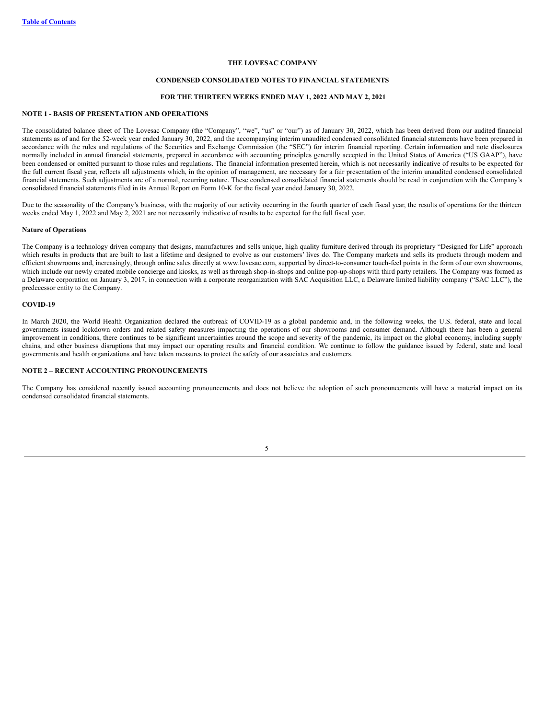# **CONDENSED CONSOLIDATED NOTES TO FINANCIAL STATEMENTS**

### **FOR THE THIRTEEN WEEKS ENDED MAY 1, 2022 AND MAY 2, 2021**

# **NOTE 1 - BASIS OF PRESENTATION AND OPERATIONS**

The consolidated balance sheet of The Lovesac Company (the "Company", "we", "us" or "our") as of January 30, 2022, which has been derived from our audited financial statements as of and for the 52-week year ended January 30, 2022, and the accompanying interim unaudited condensed consolidated financial statements have been prepared in accordance with the rules and regulations of the Securities and Exchange Commission (the "SEC") for interim financial reporting. Certain information and note disclosures normally included in annual financial statements, prepared in accordance with accounting principles generally accepted in the United States of America ("US GAAP"), have been condensed or omitted pursuant to those rules and regulations. The financial information presented herein, which is not necessarily indicative of results to be expected for the full current fiscal year, reflects all adjustments which, in the opinion of management, are necessary for a fair presentation of the interim unaudited condensed consolidated financial statements. Such adjustments are of a normal, recurring nature. These condensed consolidated financial statements should be read in conjunction with the Company's consolidated financial statements filed in its Annual Report on Form 10-K for the fiscal year ended January 30, 2022.

Due to the seasonality of the Company's business, with the majority of our activity occurring in the fourth quarter of each fiscal year, the results of operations for the thirteen weeks ended May 1, 2022 and May 2, 2021 are not necessarily indicative of results to be expected for the full fiscal year.

### **Nature of Operations**

The Company is a technology driven company that designs, manufactures and sells unique, high quality furniture derived through its proprietary "Designed for Life" approach which results in products that are built to last a lifetime and designed to evolve as our customers' lives do. The Company markets and sells its products through modern and efficient showrooms and, increasingly, through online sales directly at www.lovesac.com, supported by direct-to-consumer touch-feel points in the form of our own showrooms, which include our newly created mobile concierge and kiosks, as well as through shop-in-shops and online pop-up-shops with third party retailers. The Company was formed as a Delaware corporation on January 3, 2017, in connection with a corporate reorganization with SAC Acquisition LLC, a Delaware limited liability company ("SAC LLC"), the predecessor entity to the Company.

#### **COVID-19**

In March 2020, the World Health Organization declared the outbreak of COVID-19 as a global pandemic and, in the following weeks, the U.S. federal, state and local governments issued lockdown orders and related safety measures impacting the operations of our showrooms and consumer demand. Although there has been a general improvement in conditions, there continues to be significant uncertainties around the scope and severity of the pandemic, its impact on the global economy, including supply chains, and other business disruptions that may impact our operating results and financial condition. We continue to follow the guidance issued by federal, state and local governments and health organizations and have taken measures to protect the safety of our associates and customers.

### **NOTE 2 – RECENT ACCOUNTING PRONOUNCEMENTS**

The Company has considered recently issued accounting pronouncements and does not believe the adoption of such pronouncements will have a material impact on its condensed consolidated financial statements.

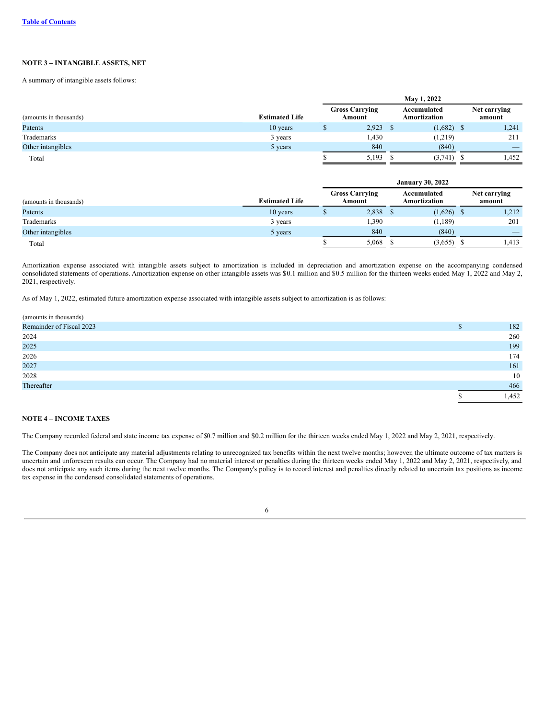# **NOTE 3 – INTANGIBLE ASSETS, NET**

A summary of intangible assets follows:

|                        |                       | May 1, 2022 |                                 |  |                             |  |                          |
|------------------------|-----------------------|-------------|---------------------------------|--|-----------------------------|--|--------------------------|
| (amounts in thousands) | <b>Estimated Life</b> |             | <b>Gross Carrying</b><br>Amount |  | Accumulated<br>Amortization |  | Net carrying<br>amount   |
| Patents                | 10 years              |             | 2,923                           |  | $(1,682)$ \$                |  | 1,241                    |
| Trademarks             | 3 years               |             | 1,430                           |  | (1,219)                     |  | 211                      |
| Other intangibles      | 5 years               |             | 840                             |  | (840)                       |  | $\overline{\phantom{a}}$ |
| Total                  |                       |             | 5,193                           |  | $(3,741)$ \$                |  | .452                     |

|                        |                       | <b>January 30, 2022</b> |                                 |  |                             |  |                        |
|------------------------|-----------------------|-------------------------|---------------------------------|--|-----------------------------|--|------------------------|
| (amounts in thousands) | <b>Estimated Life</b> |                         | <b>Gross Carrying</b><br>Amount |  | Accumulated<br>Amortization |  | Net carrying<br>amount |
| Patents                | 10 years              |                         | 2,838                           |  | $(1,626)$ \$                |  | 1,212                  |
| Trademarks             | 3 years               |                         | 1,390                           |  | (1,189)                     |  | 201                    |
| Other intangibles      | 5 years               |                         | 840                             |  | (840)                       |  | _                      |
| Total                  |                       |                         | 5,068                           |  | $(3,655)$ \$                |  | 413. ا                 |

Amortization expense associated with intangible assets subject to amortization is included in depreciation and amortization expense on the accompanying condensed consolidated statements of operations. Amortization expense on other intangible assets was \$0.1 million and \$0.5 million for the thirteen weeks ended May 1, 2022 and May 2, 2021, respectively.

As of May 1, 2022, estimated future amortization expense associated with intangible assets subject to amortization is as follows:

| (amounts in thousands)   |      |
|--------------------------|------|
| Remainder of Fiscal 2023 | 182  |
| 2024                     | 260  |
| 2025                     | 199  |
| 2026                     | 174  |
| 2027                     | 161  |
| 2028                     | 10   |
| Thereafter               | 466  |
|                          | .452 |

# **NOTE 4 – INCOME TAXES**

The Company recorded federal and state income tax expense of \$0.7 million and \$0.2 million for the thirteen weeks ended May 1, 2022 and May 2, 2021, respectively.

The Company does not anticipate any material adjustments relating to unrecognized tax benefits within the next twelve months; however, the ultimate outcome of tax matters is uncertain and unforeseen results can occur. The Company had no material interest or penalties during the thirteen weeks ended May 1, 2022 and May 2, 2021, respectively, and does not anticipate any such items during the next twelve months. The Company's policy is to record interest and penalties directly related to uncertain tax positions as income tax expense in the condensed consolidated statements of operations.

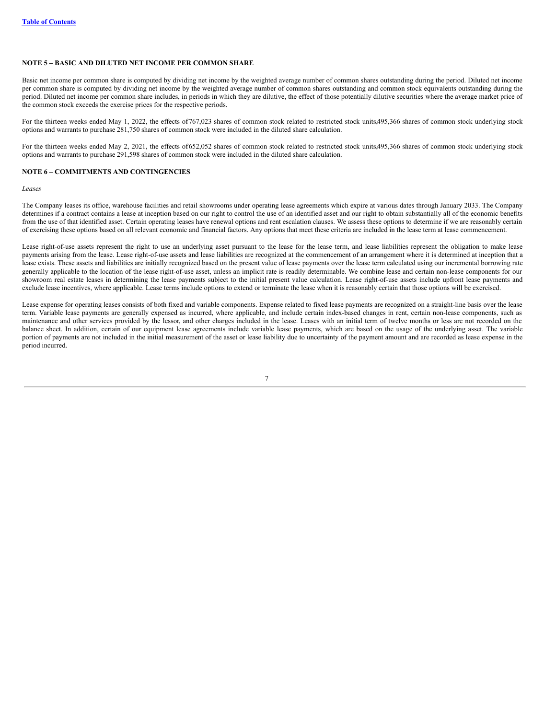# **NOTE 5 – BASIC AND DILUTED NET INCOME PER COMMON SHARE**

Basic net income per common share is computed by dividing net income by the weighted average number of common shares outstanding during the period. Diluted net income per common share is computed by dividing net income by the weighted average number of common shares outstanding and common stock equivalents outstanding during the period. Diluted net income per common share includes, in periods in which they are dilutive, the effect of those potentially dilutive securities where the average market price of the common stock exceeds the exercise prices for the respective periods.

For the thirteen weeks ended May 1, 2022, the effects of 767,023 shares of common stock related to restricted stock units,495,366 shares of common stock underlying stock options and warrants to purchase 281,750 shares of common stock were included in the diluted share calculation.

For the thirteen weeks ended May 2, 2021, the effects of 652,052 shares of common stock related to restricted stock units,495,366 shares of common stock underlying stock options and warrants to purchase 291,598 shares of common stock were included in the diluted share calculation.

### **NOTE 6 – COMMITMENTS AND CONTINGENCIES**

#### *Leases*

The Company leases its office, warehouse facilities and retail showrooms under operating lease agreements which expire at various dates through January 2033. The Company determines if a contract contains a lease at inception based on our right to control the use of an identified asset and our right to obtain substantially all of the economic benefits from the use of that identified asset. Certain operating leases have renewal options and rent escalation clauses. We assess these options to determine if we are reasonably certain of exercising these options based on all relevant economic and financial factors. Any options that meet these criteria are included in the lease term at lease commencement.

Lease right-of-use assets represent the right to use an underlying asset pursuant to the lease for the lease term, and lease liabilities represent the obligation to make lease payments arising from the lease. Lease right-of-use assets and lease liabilities are recognized at the commencement of an arrangement where it is determined at inception that a lease exists. These assets and liabilities are initially recognized based on the present value of lease payments over the lease term calculated using our incremental borrowing rate generally applicable to the location of the lease right-of-use asset, unless an implicit rate is readily determinable. We combine lease and certain non-lease components for our showroom real estate leases in determining the lease payments subject to the initial present value calculation. Lease right-of-use assets include upfront lease payments and exclude lease incentives, where applicable. Lease terms include options to extend or terminate the lease when it is reasonably certain that those options will be exercised.

Lease expense for operating leases consists of both fixed and variable components. Expense related to fixed lease payments are recognized on a straight-line basis over the lease term. Variable lease payments are generally expensed as incurred, where applicable, and include certain index-based changes in rent, certain non-lease components, such as maintenance and other services provided by the lessor, and other charges included in the lease. Leases with an initial term of twelve months or less are not recorded on the balance sheet. In addition, certain of our equipment lease agreements include variable lease payments, which are based on the usage of the underlying asset. The variable portion of payments are not included in the initial measurement of the asset or lease liability due to uncertainty of the payment amount and are recorded as lease expense in the period incurred.

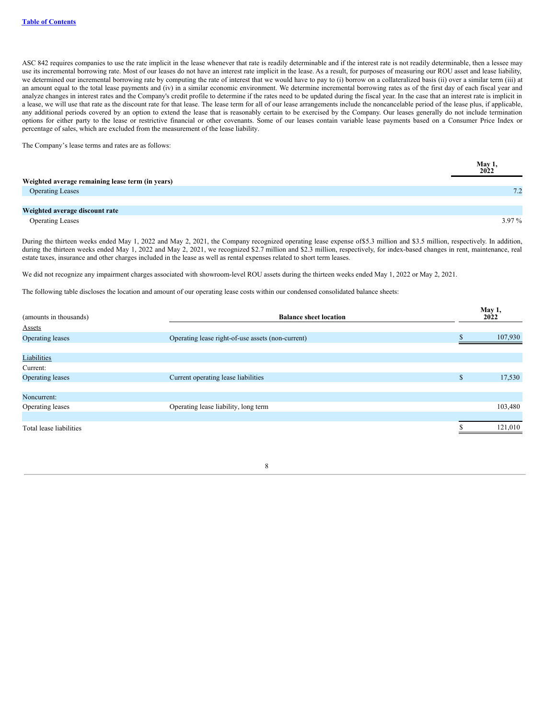ASC 842 requires companies to use the rate implicit in the lease whenever that rate is readily determinable and if the interest rate is not readily determinable, then a lessee may use its incremental borrowing rate. Most of our leases do not have an interest rate implicit in the lease. As a result, for purposes of measuring our ROU asset and lease liability, we determined our incremental borrowing rate by computing the rate of interest that we would have to pay to (i) borrow on a collateralized basis (ii) over a similar term (iii) at an amount equal to the total lease payments and (iv) in a similar economic environment. We determine incremental borrowing rates as of the first day of each fiscal year and analyze changes in interest rates and the Company's credit profile to determine if the rates need to be updated during the fiscal year. In the case that an interest rate is implicit in a lease, we will use that rate as the discount rate for that lease. The lease term for all of our lease arrangements include the noncancelable period of the lease plus, if applicable, any additional periods covered by an option to extend the lease that is reasonably certain to be exercised by the Company. Our leases generally do not include termination options for either party to the lease or restrictive financial or other covenants. Some of our leases contain variable lease payments based on a Consumer Price Index or percentage of sales, which are excluded from the measurement of the lease liability.

The Company's lease terms and rates are as follows:

|                                                  | May 1,<br>2022 |
|--------------------------------------------------|----------------|
| Weighted average remaining lease term (in years) |                |
| <b>Operating Leases</b>                          | 7.2            |
|                                                  |                |
| Weighted average discount rate                   |                |
| <b>Operating Leases</b>                          | $3.97\%$       |

During the thirteen weeks ended May 1, 2022 and May 2, 2021, the Company recognized operating lease expense of \$5.3 million and \$3.5 million, respectively. In addition, during the thirteen weeks ended May 1, 2022 and May 2, 2021, we recognized \$2.7 million and \$2.3 million, respectively, for index-based changes in rent, maintenance, real estate taxes, insurance and other charges included in the lease as well as rental expenses related to short term leases.

We did not recognize any impairment charges associated with showroom-level ROU assets during the thirteen weeks ended May 1, 2022 or May 2, 2021.

The following table discloses the location and amount of our operating lease costs within our condensed consolidated balance sheets:

| (amounts in thousands)  | <b>Balance sheet location</b>                     | May 1,<br>2022 |
|-------------------------|---------------------------------------------------|----------------|
| <b>Assets</b>           |                                                   |                |
| Operating leases        | Operating lease right-of-use assets (non-current) | 107,930        |
|                         |                                                   |                |
| Liabilities             |                                                   |                |
| Current:                |                                                   |                |
| Operating leases        | Current operating lease liabilities               | \$<br>17,530   |
|                         |                                                   |                |
| Noncurrent:             |                                                   |                |
| Operating leases        | Operating lease liability, long term              | 103,480        |
|                         |                                                   |                |
| Total lease liabilities |                                                   | 121,010        |

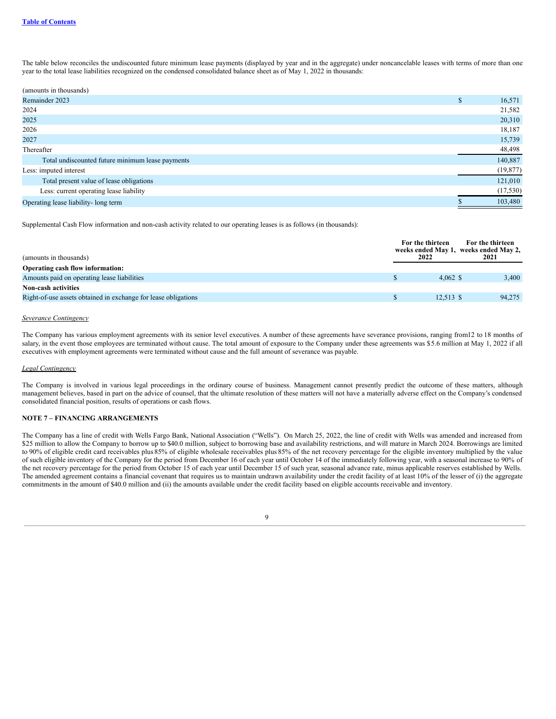The table below reconciles the undiscounted future minimum lease payments (displayed by year and in the aggregate) under noncancelable leases with terms of more than one year to the total lease liabilities recognized on the condensed consolidated balance sheet as of May 1, 2022 in thousands:

| (amounts in thousands)                           |              |
|--------------------------------------------------|--------------|
| Remainder 2023                                   | \$<br>16,571 |
| 2024                                             | 21,582       |
| 2025                                             | 20,310       |
| 2026                                             | 18,187       |
| 2027                                             | 15,739       |
| Thereafter                                       | 48,498       |
| Total undiscounted future minimum lease payments | 140,887      |
| Less: imputed interest                           | (19, 877)    |
| Total present value of lease obligations         | 121,010      |
| Less: current operating lease liability          | (17, 530)    |
| Operating lease liability-long term              | 103,480      |

Supplemental Cash Flow information and non-cash activity related to our operating leases is as follows (in thousands):

| (amounts in thousands)                                         | For the thirteen<br>2022 | For the thirteen<br>weeks ended May 1, weeks ended May 2,<br>2021 |
|----------------------------------------------------------------|--------------------------|-------------------------------------------------------------------|
| Operating cash flow information:                               |                          |                                                                   |
| Amounts paid on operating lease liabilities                    | $4.062 \text{ s}$        | 3,400                                                             |
| Non-cash activities                                            |                          |                                                                   |
| Right-of-use assets obtained in exchange for lease obligations | $12.513 \text{ }$ \$     | 94,275                                                            |
|                                                                |                          |                                                                   |

# *Severance Contingency*

The Company has various employment agreements with its senior level executives. A number of these agreements have severance provisions, ranging from12 to 18 months of salary, in the event those employees are terminated without cause. The total amount of exposure to the Company under these agreements was \$5.6 million at May 1, 2022 if all executives with employment agreements were terminated without cause and the full amount of severance was payable.

### *Legal Contingency*

The Company is involved in various legal proceedings in the ordinary course of business. Management cannot presently predict the outcome of these matters, although management believes, based in part on the advice of counsel, that the ultimate resolution of these matters will not have a materially adverse effect on the Company's condensed consolidated financial position, results of operations or cash flows.

# **NOTE 7 – FINANCING ARRANGEMENTS**

The Company has a line of credit with Wells Fargo Bank, National Association ("Wells"). On March 25, 2022, the line of credit with Wells was amended and increased from \$25 million to allow the Company to borrow up to \$40.0 million, subject to borrowing base and availability restrictions, and will mature in March 2024. Borrowings are limited to 90% of eligible credit card receivables plus 85% of eligible wholesale receivables plus 85% of the net recovery percentage for the eligible inventory multiplied by the value of such eligible inventory of the Company for the period from December 16 of each year until October 14 of the immediately following year, with a seasonal increase to 90% of the net recovery percentage for the period from October 15 of each year until December 15 of such year, seasonal advance rate, minus applicable reserves established by Wells. The amended agreement contains a financial covenant that requires us to maintain undrawn availability under the credit facility of at least 10% of the lesser of (i) the aggregate commitments in the amount of \$40.0 million and (ii) the amounts available under the credit facility based on eligible accounts receivable and inventory.

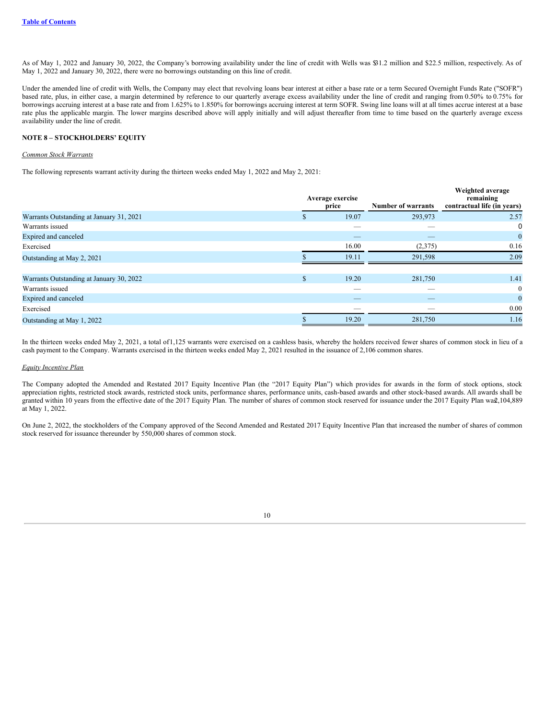As of May 1, 2022 and January 30, 2022, the Company's borrowing availability under the line of credit with Wells was \$31.2 million and \$22.5 million, respectively. As of May 1, 2022 and January 30, 2022, there were no borrowings outstanding on this line of credit.

Under the amended line of credit with Wells, the Company may elect that revolving loans bear interest at either a base rate or a term Secured Overnight Funds Rate ("SOFR") based rate, plus, in either case, a margin determined by reference to our quarterly average excess availability under the line of credit and ranging from 0.50% to 0.75% for borrowings accruing interest at a base rate and from 1.625% to 1.850% for borrowings accruing interest at term SOFR. Swing line loans will at all times accrue interest at a base rate plus the applicable margin. The lower margins described above will apply initially and will adjust thereafter from time to time based on the quarterly average excess availability under the line of credit.

# **NOTE 8 – STOCKHOLDERS' EQUITY**

#### *Common Stock Warrants*

The following represents warrant activity during the thirteen weeks ended May 1, 2022 and May 2, 2021:

|                                          | Average exercise<br>price | <b>Number of warrants</b> | Weighted average<br>remaining<br>contractual life (in years) |
|------------------------------------------|---------------------------|---------------------------|--------------------------------------------------------------|
| Warrants Outstanding at January 31, 2021 | \$<br>19.07               | 293,973                   | 2.57                                                         |
| Warrants issued                          |                           |                           | 0                                                            |
| Expired and canceled                     |                           |                           | $\mathbf{0}$                                                 |
| Exercised                                | 16.00                     | (2,375)                   | 0.16                                                         |
| Outstanding at May 2, 2021               | 19.11                     | 291,598                   | 2.09                                                         |
| Warrants Outstanding at January 30, 2022 | \$<br>19.20               | 281,750                   | 1.41                                                         |
| Warrants issued                          |                           |                           | $\mathbf{0}$                                                 |
| Expired and canceled                     | _                         |                           | $\bf{0}$                                                     |
| Exercised                                |                           |                           | 0.00                                                         |
| Outstanding at May 1, 2022               | 19.20                     | 281,750                   | 1.16                                                         |

In the thirteen weeks ended May 2, 2021, a total of1,125 warrants were exercised on a cashless basis, whereby the holders received fewer shares of common stock in lieu of a cash payment to the Company. Warrants exercised in the thirteen weeks ended May 2, 2021 resulted in the issuance of 2,106 common shares.

#### *Equity Incentive Plan*

The Company adopted the Amended and Restated 2017 Equity Incentive Plan (the "2017 Equity Plan") which provides for awards in the form of stock options, stock appreciation rights, restricted stock awards, restricted stock units, performance shares, performance units, cash-based awards and other stock-based awards. All awards shall be granted within 10 years from the effective date of the 2017 Equity Plan. The number of shares of common stock reserved for issuance under the 2017 Equity Plan was, 104,889 at May 1, 2022.

On June 2, 2022, the stockholders of the Company approved of the Second Amended and Restated 2017 Equity Incentive Plan that increased the number of shares of common stock reserved for issuance thereunder by 550,000 shares of common stock.

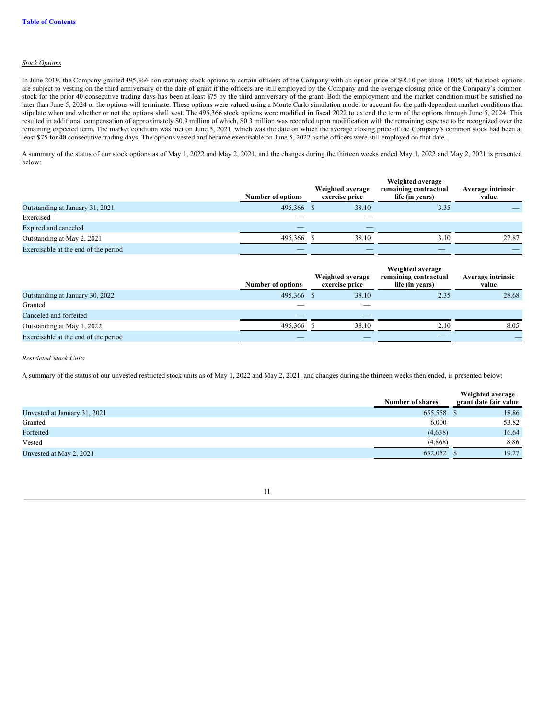# *Stock Options*

In June 2019, the Company granted 495,366 non-statutory stock options to certain officers of the Company with an option price of \$38.10 per share. 100% of the stock options are subject to vesting on the third anniversary of the date of grant if the officers are still employed by the Company and the average closing price of the Company's common stock for the prior 40 consecutive trading days has been at least \$75 by the third anniversary of the grant. Both the employment and the market condition must be satisfied no later than June 5, 2024 or the options will terminate. These options were valued using a Monte Carlo simulation model to account for the path dependent market conditions that stipulate when and whether or not the options shall vest. The 495,366 stock options were modified in fiscal 2022 to extend the term of the options through June 5, 2024. This resulted in additional compensation of approximately \$0.9 million of which, \$0.3 million was recorded upon modification with the remaining expense to be recognized over the remaining expected term. The market condition was met on June 5, 2021, which was the date on which the average closing price of the Company's common stock had been at least \$75 for 40 consecutive trading days. The options vested and became exercisable on June 5, 2022 as the officers were still employed on that date.

A summary of the status of our stock options as of May 1, 2022 and May 2, 2021, and the changes during the thirteen weeks ended May 1, 2022 and May 2, 2021 is presented below:

|                                      | <b>Number of options</b> | Weighted average<br>exercise price | Weighted average<br>remaining contractual<br>life (in years) | Average intrinsic<br>value |
|--------------------------------------|--------------------------|------------------------------------|--------------------------------------------------------------|----------------------------|
| Outstanding at January 31, 2021      | 495,366 \$               | 38.10                              | 3.35                                                         |                            |
| Exercised                            |                          |                                    |                                                              |                            |
| Expired and canceled                 |                          |                                    |                                                              |                            |
| Outstanding at May 2, 2021           | 495,366                  | 38.10                              | 3.10                                                         | 22.87                      |
| Exercisable at the end of the period | $\overline{\phantom{a}}$ |                                    | $\overline{\phantom{a}}$                                     |                            |

|                                      | <b>Number of options</b> | Weighted average<br>exercise price | Weighted average<br>remaining contractual<br>life (in years) | Average intrinsic<br>value |
|--------------------------------------|--------------------------|------------------------------------|--------------------------------------------------------------|----------------------------|
| Outstanding at January 30, 2022      | 495,366                  | 38.10                              | 2.35                                                         | 28.68                      |
| Granted                              |                          |                                    |                                                              |                            |
| Canceled and forfeited               |                          |                                    |                                                              |                            |
| Outstanding at May 1, 2022           | 495,366                  | 38.10                              | 2.10                                                         | 8.05                       |
| Exercisable at the end of the period |                          |                                    | _                                                            |                            |

*Restricted Stock Units*

A summary of the status of our unvested restricted stock units as of May 1, 2022 and May 2, 2021, and changes during the thirteen weeks then ended, is presented below:

|                              | Number of shares | Weighted average<br>grant date fair value |
|------------------------------|------------------|-------------------------------------------|
| Unvested at January 31, 2021 | 655,558 \$       | 18.86                                     |
| Granted                      | 6,000            | 53.82                                     |
| Forfeited                    | (4,638)          | 16.64                                     |
| Vested                       | (4,868)          | 8.86                                      |
| Unvested at May 2, 2021      | 652,052 \$       | 19.27                                     |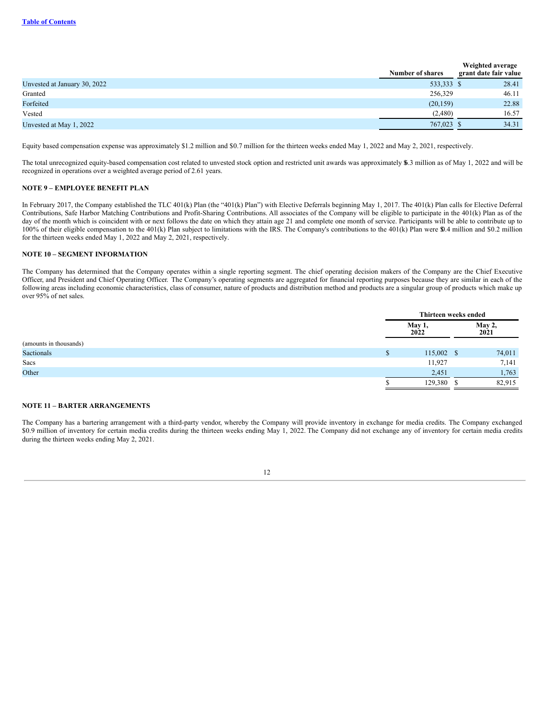|                              | <b>Number of shares</b> | Weighted average<br>grant date fair value |
|------------------------------|-------------------------|-------------------------------------------|
| Unvested at January 30, 2022 | 533,333 \$              | 28.41                                     |
| Granted                      | 256,329                 | 46.11                                     |
| Forfeited                    | (20, 159)               | 22.88                                     |
| Vested                       | (2,480)                 | 16.57                                     |
| Unvested at May 1, 2022      | 767,023 \$              | 34.31                                     |

Equity based compensation expense was approximately \$1.2 million and \$0.7 million for the thirteen weeks ended May 1, 2022 and May 2, 2021, respectively.

The total unrecognized equity-based compensation cost related to unvested stock option and restricted unit awards was approximately \$6.3 million as of May 1, 2022 and will be recognized in operations over a weighted average period of 2.61 years.

## **NOTE 9 – EMPLOYEE BENEFIT PLAN**

In February 2017, the Company established the TLC 401(k) Plan (the "401(k) Plan") with Elective Deferrals beginning May 1, 2017. The 401(k) Plan calls for Elective Deferral Contributions, Safe Harbor Matching Contributions and Profit-Sharing Contributions. All associates of the Company will be eligible to participate in the 401(k) Plan as of the day of the month which is coincident with or next follows the date on which they attain age 21 and complete one month of service. Participants will be able to contribute up to 100% of their eligible compensation to the 401(k) Plan subject to limitations with the IRS. The Company's contributions to the 401(k) Plan were \$0.4 million and \$0.2 million for the thirteen weeks ended May 1, 2022 and May 2, 2021, respectively.

# **NOTE 10 – SEGMENT INFORMATION**

The Company has determined that the Company operates within a single reporting segment. The chief operating decision makers of the Company are the Chief Executive Officer, and President and Chief Operating Officer. The Company's operating segments are aggregated for financial reporting purposes because they are similar in each of the following areas including economic characteristics, class of consumer, nature of products and distribution method and products are a singular group of products which make up over 95% of net sales.

|                        |     | Thirteen weeks ended |  |                |
|------------------------|-----|----------------------|--|----------------|
|                        |     | May 1.<br>2022       |  | May 2,<br>2021 |
| (amounts in thousands) |     |                      |  |                |
| Sactionals             | ۰D. | $115,002$ \$         |  | 74,011         |
| Sacs                   |     | 11,927               |  | 7,141          |
| Other                  |     | 2,451                |  | 1,763          |
|                        |     | 129,380              |  | 82,915         |

# **NOTE 11 – BARTER ARRANGEMENTS**

The Company has a bartering arrangement with a third-party vendor, whereby the Company will provide inventory in exchange for media credits. The Company exchanged \$0.9 million of inventory for certain media credits during the thirteen weeks ending May 1, 2022. The Company did not exchange any of inventory for certain media credits during the thirteen weeks ending May 2, 2021.

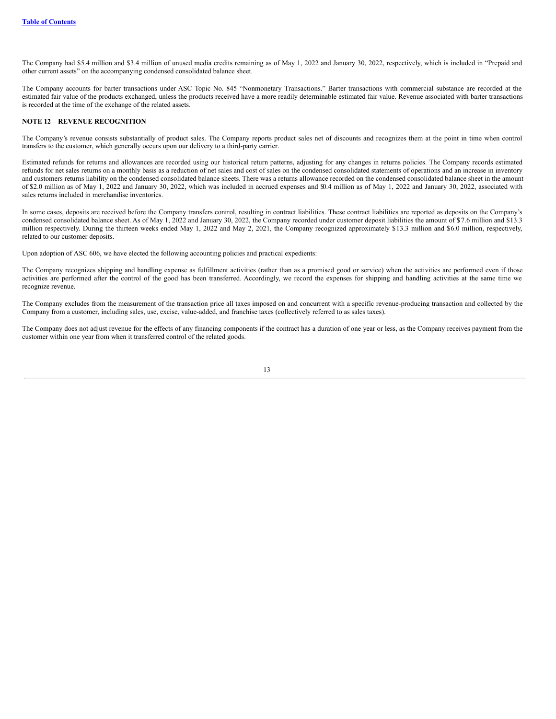The Company had \$5.4 million and \$3.4 million of unused media credits remaining as of May 1, 2022 and January 30, 2022, respectively, which is included in "Prepaid and other current assets" on the accompanying condensed consolidated balance sheet.

The Company accounts for barter transactions under ASC Topic No. 845 "Nonmonetary Transactions." Barter transactions with commercial substance are recorded at the estimated fair value of the products exchanged, unless the products received have a more readily determinable estimated fair value. Revenue associated with barter transactions is recorded at the time of the exchange of the related assets.

### **NOTE 12 – REVENUE RECOGNITION**

The Company's revenue consists substantially of product sales. The Company reports product sales net of discounts and recognizes them at the point in time when control transfers to the customer, which generally occurs upon our delivery to a third-party carrier.

Estimated refunds for returns and allowances are recorded using our historical return patterns, adjusting for any changes in returns policies. The Company records estimated refunds for net sales returns on a monthly basis as a reduction of net sales and cost of sales on the condensed consolidated statements of operations and an increase in inventory and customers returns liability on the condensed consolidated balance sheets. There was a returns allowance recorded on the condensed consolidated balance sheet in the amount of \$2.0 million as of May 1, 2022 and January 30, 2022, which was included in accrued expenses and \$0.4 million as of May 1, 2022 and January 30, 2022, associated with sales returns included in merchandise inventories.

In some cases, deposits are received before the Company transfers control, resulting in contract liabilities. These contract liabilities are reported as deposits on the Company's condensed consolidated balance sheet. As of May 1, 2022 and January 30, 2022, the Company recorded under customer deposit liabilities the amount of \$7.6 million and \$13.3 million respectively. During the thirteen weeks ended May 1, 2022 and May 2, 2021, the Company recognized approximately \$13.3 million and \$6.0 million, respectively, related to our customer deposits.

Upon adoption of ASC 606, we have elected the following accounting policies and practical expedients:

The Company recognizes shipping and handling expense as fulfillment activities (rather than as a promised good or service) when the activities are performed even if those activities are performed after the control of the good has been transferred. Accordingly, we record the expenses for shipping and handling activities at the same time we recognize revenue.

The Company excludes from the measurement of the transaction price all taxes imposed on and concurrent with a specific revenue-producing transaction and collected by the Company from a customer, including sales, use, excise, value-added, and franchise taxes (collectively referred to as sales taxes).

The Company does not adjust revenue for the effects of any financing components if the contract has a duration of one year or less, as the Company receives payment from the customer within one year from when it transferred control of the related goods.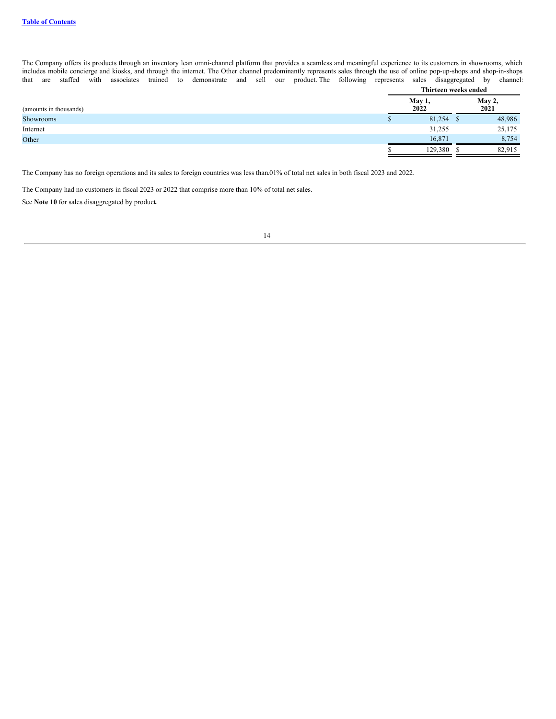The Company offers its products through an inventory lean omni-channel platform that provides a seamless and meaningful experience to its customers in showrooms, which includes mobile concierge and kiosks, and through the internet. The Other channel predominantly represents sales through the use of online pop-up-shops and shop-in-shops that are staffed with associates trained to demonstrate and sell our product. The following represents sales disaggregated by channel:

|                        | Thirteen weeks ended |                |    |                |
|------------------------|----------------------|----------------|----|----------------|
| (amounts in thousands) |                      | May 1.<br>2022 |    | May 2,<br>2021 |
| Showrooms              |                      | 81,254         | -S | 48,986         |
| Internet               |                      | 31,255         |    | 25,175         |
| Other                  |                      | 16.871         |    | 8,754          |
|                        |                      | 129,380        |    | 82,915         |

The Company has no foreign operations and its sales to foreign countries was less than.01% of total net sales in both fiscal 2023 and 2022.

The Company had no customers in fiscal 2023 or 2022 that comprise more than 10% of total net sales.

<span id="page-17-0"></span>See **Note 10** for sales disaggregated by product**.**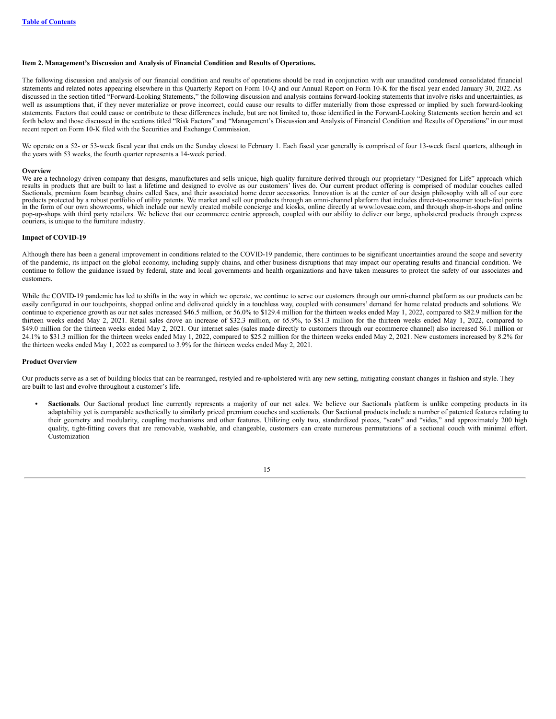#### **Item 2. Management's Discussion and Analysis of Financial Condition and Results of Operations.**

The following discussion and analysis of our financial condition and results of operations should be read in conjunction with our unaudited condensed consolidated financial statements and related notes appearing elsewhere in this Quarterly Report on Form 10-Q and our Annual Report on Form 10-K for the fiscal year ended January 30, 2022. As discussed in the section titled "Forward-Looking Statements," the following discussion and analysis contains forward-looking statements that involve risks and uncertainties, as well as assumptions that, if they never materialize or prove incorrect, could cause our results to differ materially from those expressed or implied by such forward-looking statements. Factors that could cause or contribute to these differences include, but are not limited to, those identified in the Forward-Looking Statements section herein and set forth below and those discussed in the sections titled "Risk Factors" and "Management's Discussion and Analysis of Financial Condition and Results of Operations" in our most recent report on Form 10-K filed with the Securities and Exchange Commission.

We operate on a 52- or 53-week fiscal year that ends on the Sunday closest to February 1. Each fiscal year generally is comprised of four 13-week fiscal quarters, although in the years with 53 weeks, the fourth quarter represents a 14-week period.

#### **Overview**

We are a technology driven company that designs, manufactures and sells unique, high quality furniture derived through our proprietary "Designed for Life" approach which results in products that are built to last a lifetime and designed to evolve as our customers' lives do. Our current product offering is comprised of modular couches called Sactionals, premium foam beanbag chairs called Sacs, and their associated home decor accessories. Innovation is at the center of our design philosophy with all of our core products protected by a robust portfolio of utility patents. We market and sell our products through an omni-channel platform that includes direct-to-consumer touch-feel points in the form of our own showrooms, which include our newly created mobile concierge and kiosks, online directly at www.lovesac.com, and through shop-in-shops and online pop-up-shops with third party retailers. We believe that our ecommerce centric approach, coupled with our ability to deliver our large, upholstered products through express couriers, is unique to the furniture industry.

### **Impact of COVID-19**

Although there has been a general improvement in conditions related to the COVID-19 pandemic, there continues to be significant uncertainties around the scope and severity of the pandemic, its impact on the global economy, including supply chains, and other business disruptions that may impact our operating results and financial condition. We continue to follow the guidance issued by federal, state and local governments and health organizations and have taken measures to protect the safety of our associates and customers.

While the COVID-19 pandemic has led to shifts in the way in which we operate, we continue to serve our customers through our omni-channel platform as our products can be easily configured in our touchpoints, shopped online and delivered quickly in a touchless way, coupled with consumers' demand for home related products and solutions. We continue to experience growth as our net sales increased \$46.5 million, or 56.0% to \$129.4 million for the thirteen weeks ended May 1, 2022, compared to \$82.9 million for the thirteen weeks ended May 2, 2021. Retail sales drove an increase of \$32.3 million, or 65.9%, to \$81.3 million for the thirteen weeks ended May 1, 2022, compared to \$49.0 million for the thirteen weeks ended May 2, 2021. Our internet sales (sales made directly to customers through our ecommerce channel) also increased \$6.1 million or 24.1% to \$31.3 million for the thirteen weeks ended May 1, 2022, compared to \$25.2 million for the thirteen weeks ended May 2, 2021. New customers increased by 8.2% for the thirteen weeks ended May 1, 2022 as compared to 3.9% for the thirteen weeks ended May 2, 2021.

#### **Product Overview**

Our products serve as a set of building blocks that can be rearranged, restyled and re-upholstered with any new setting, mitigating constant changes in fashion and style. They are built to last and evolve throughout a customer's life.

**• Sactionals**. Our Sactional product line currently represents a majority of our net sales. We believe our Sactionals platform is unlike competing products in its adaptability yet is comparable aesthetically to similarly priced premium couches and sectionals. Our Sactional products include a number of patented features relating to their geometry and modularity, coupling mechanisms and other features. Utilizing only two, standardized pieces, "seats" and "sides," and approximately 200 high quality, tight-fitting covers that are removable, washable, and changeable, customers can create numerous permutations of a sectional couch with minimal effort. Customization

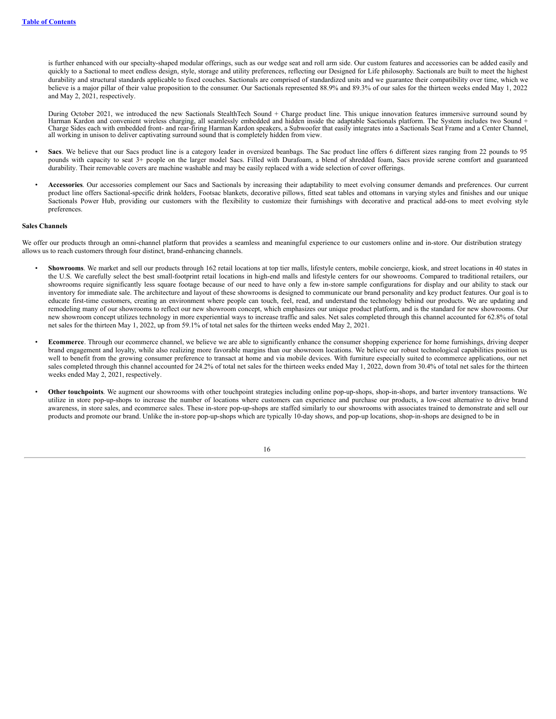is further enhanced with our specialty-shaped modular offerings, such as our wedge seat and roll arm side. Our custom features and accessories can be added easily and quickly to a Sactional to meet endless design, style, storage and utility preferences, reflecting our Designed for Life philosophy. Sactionals are built to meet the highest durability and structural standards applicable to fixed couches. Sactionals are comprised of standardized units and we guarantee their compatibility over time, which we believe is a major pillar of their value proposition to the consumer. Our Sactionals represented 88.9% and 89.3% of our sales for the thirteen weeks ended May 1, 2022 and May 2, 2021, respectively.

During October 2021, we introduced the new Sactionals StealthTech Sound + Charge product line. This unique innovation features immersive surround sound by Harman Kardon and convenient wireless charging, all seamlessly embedded and hidden inside the adaptable Sactionals platform. The System includes two Sound + Charge Sides each with embedded front- and rear-firing Harman Kardon speakers, a Subwoofer that easily integrates into a Sactionals Seat Frame and a Center Channel, all working in unison to deliver captivating surround sound that is completely hidden from view.

- Sacs. We believe that our Sacs product line is a category leader in oversized beanbags. The Sac product line offers 6 different sizes ranging from 22 pounds to 95 pounds with capacity to seat 3+ people on the larger model Sacs. Filled with Durafoam, a blend of shredded foam, Sacs provide serene comfort and guaranteed durability. Their removable covers are machine washable and may be easily replaced with a wide selection of cover offerings.
- **Accessories**. Our accessories complement our Sacs and Sactionals by increasing their adaptability to meet evolving consumer demands and preferences. Our current product line offers Sactional-specific drink holders, Footsac blankets, decorative pillows, fitted seat tables and ottomans in varying styles and finishes and our unique Sactionals Power Hub, providing our customers with the flexibility to customize their furnishings with decorative and practical add-ons to meet evolving style preferences.

#### **Sales Channels**

We offer our products through an omni-channel platform that provides a seamless and meaningful experience to our customers online and in-store. Our distribution strategy allows us to reach customers through four distinct, brand-enhancing channels.

- **Showrooms**. We market and sell our products through 162 retail locations at top tier malls, lifestyle centers, mobile concierge, kiosk, and street locations in 40 states in the U.S. We carefully select the best small-footprint retail locations in high-end malls and lifestyle centers for our showrooms. Compared to traditional retailers, our showrooms require significantly less square footage because of our need to have only a few in-store sample configurations for display and our ability to stack our inventory for immediate sale. The architecture and layout of these showrooms is designed to communicate our brand personality and key product features. Our goal is to educate first-time customers, creating an environment where people can touch, feel, read, and understand the technology behind our products. We are updating and remodeling many of our showrooms to reflect our new showroom concept, which emphasizes our unique product platform, and is the standard for new showrooms. Our new showroom concept utilizes technology in more experiential ways to increase traffic and sales. Net sales completed through this channel accounted for 62.8% of total net sales for the thirteen May 1, 2022, up from 59.1% of total net sales for the thirteen weeks ended May 2, 2021.
- **Ecommerce**. Through our ecommerce channel, we believe we are able to significantly enhance the consumer shopping experience for home furnishings, driving deeper brand engagement and loyalty, while also realizing more favorable margins than our showroom locations. We believe our robust technological capabilities position us well to benefit from the growing consumer preference to transact at home and via mobile devices. With furniture especially suited to ecommerce applications, our net sales completed through this channel accounted for 24.2% of total net sales for the thirteen weeks ended May 1, 2022, down from 30.4% of total net sales for the thirteen weeks ended May 2, 2021, respectively.
- **Other touchpoints**. We augment our showrooms with other touchpoint strategies including online pop-up-shops, shop-in-shops, and barter inventory transactions. We utilize in store pop-up-shops to increase the number of locations where customers can experience and purchase our products, a low-cost alternative to drive brand awareness, in store sales, and ecommerce sales. These in-store pop-up-shops are staffed similarly to our showrooms with associates trained to demonstrate and sell our products and promote our brand. Unlike the in-store pop-up-shops which are typically 10-day shows, and pop-up locations, shop-in-shops are designed to be in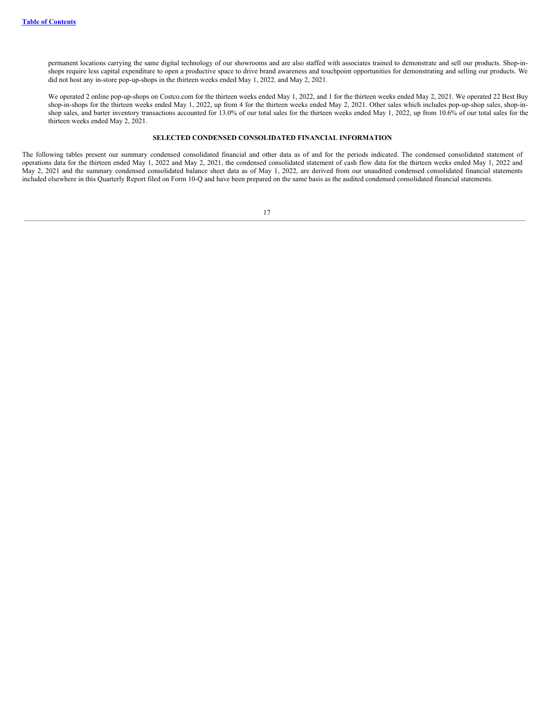permanent locations carrying the same digital technology of our showrooms and are also staffed with associates trained to demonstrate and sell our products. Shop-inshops require less capital expenditure to open a productive space to drive brand awareness and touchpoint opportunities for demonstrating and selling our products. We did not host any in-store pop-up-shops in the thirteen weeks ended May 1, 2022. and May 2, 2021.

We operated 2 online pop-up-shops on Costco.com for the thirteen weeks ended May 1, 2022, and 1 for the thirteen weeks ended May 2, 2021. We operated 22 Best Buy shop-in-shops for the thirteen weeks ended May 1, 2022, up from 4 for the thirteen weeks ended May 2, 2021. Other sales which includes pop-up-shop sales, shop-inshop sales, and barter inventory transactions accounted for 13.0% of our total sales for the thirteen weeks ended May 1, 2022, up from 10.6% of our total sales for the thirteen weeks ended May 2, 2021.

# **SELECTED CONDENSED CONSOLIDATED FINANCIAL INFORMATION**

The following tables present our summary condensed consolidated financial and other data as of and for the periods indicated. The condensed consolidated statement of operations data for the thirteen ended May 1, 2022 and May 2, 2021, the condensed consolidated statement of cash flow data for the thirteen weeks ended May 1, 2022 and May 2, 2021 and the summary condensed consolidated balance sheet data as of May 1, 2022, are derived from our unaudited condensed consolidated financial statements included elsewhere in this Quarterly Report filed on Form 10-Q and have been prepared on the same basis as the audited condensed consolidated financial statements.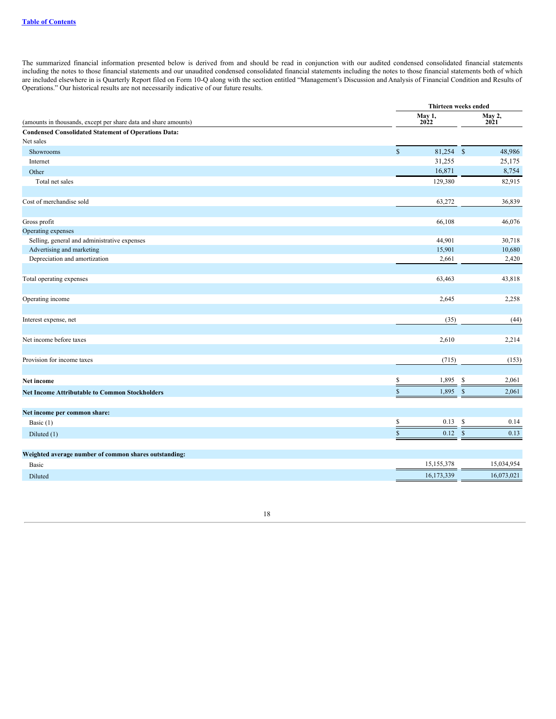The summarized financial information presented below is derived from and should be read in conjunction with our audited condensed consolidated financial statements including the notes to those financial statements and our unaudited condensed consolidated financial statements including the notes to those financial statements both of which are included elsewhere in is Quarterly Report filed on Form 10-Q along with the section entitled "Management's Discussion and Analysis of Financial Condition and Results of Operations." Our historical results are not necessarily indicative of our future results.

|                                                                 |                            | Thirteen weeks ended |                |  |
|-----------------------------------------------------------------|----------------------------|----------------------|----------------|--|
| (amounts in thousands, except per share data and share amounts) |                            | May 1,<br>2022       | May 2,<br>2021 |  |
| <b>Condensed Consolidated Statement of Operations Data:</b>     |                            |                      |                |  |
| Net sales                                                       |                            |                      |                |  |
| Showrooms                                                       | S                          | 81,254 \$            | 48,986         |  |
| Internet                                                        |                            | 31,255               | 25,175         |  |
| Other                                                           |                            | 16,871               | 8,754          |  |
| Total net sales                                                 |                            | 129,380              | 82,915         |  |
|                                                                 |                            |                      |                |  |
| Cost of merchandise sold                                        |                            | 63,272               | 36,839         |  |
|                                                                 |                            |                      |                |  |
| Gross profit                                                    |                            | 66,108               | 46,076         |  |
| Operating expenses                                              |                            |                      |                |  |
| Selling, general and administrative expenses                    |                            | 44,901               | 30,718         |  |
| Advertising and marketing                                       |                            | 15,901               | 10,680         |  |
| Depreciation and amortization                                   |                            | 2,661                | 2,420          |  |
|                                                                 |                            |                      |                |  |
| Total operating expenses                                        |                            | 63,463               | 43,818         |  |
| Operating income                                                |                            | 2,645                | 2,258          |  |
| Interest expense, net                                           |                            | (35)                 | (44)           |  |
| Net income before taxes                                         |                            | 2,610                | 2,214          |  |
|                                                                 |                            |                      |                |  |
| Provision for income taxes                                      |                            | (715)                | (153)          |  |
| Net income                                                      | \$                         | 1,895 \$             | 2,061          |  |
| <b>Net Income Attributable to Common Stockholders</b>           | $\$$                       | 1,895 \$             | 2,061          |  |
| Net income per common share:                                    |                            |                      |                |  |
| Basic $(1)$                                                     | $\frac{\text{S}}{\text{}}$ | $0.13$ \$            | 0.14           |  |
| Diluted $(1)$                                                   | $\mathsf{\$}$              | $0.12$ \$            | 0.13           |  |
|                                                                 |                            |                      |                |  |
| Weighted average number of common shares outstanding:           |                            |                      |                |  |
| Basic                                                           |                            | 15,155,378           | 15,034,954     |  |
| Diluted                                                         |                            | 16,173,339           | 16,073,021     |  |
|                                                                 |                            |                      |                |  |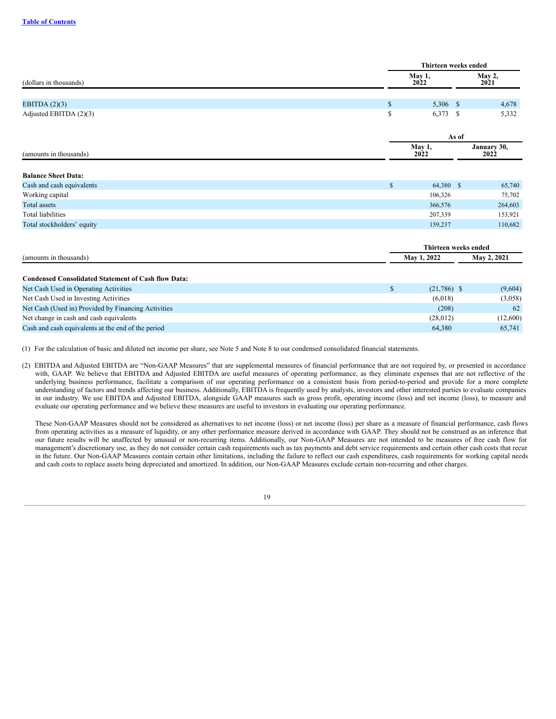|                                                            |              | <b>Thirteen weeks ended</b> |       |                     |  |  |
|------------------------------------------------------------|--------------|-----------------------------|-------|---------------------|--|--|
| (dollars in thousands)                                     |              | May 1,<br>2022              |       | May 2,<br>2021      |  |  |
|                                                            |              |                             |       |                     |  |  |
| EBITDA $(2)(3)$                                            | $\mathbb{S}$ | 5,306 \$                    |       | 4,678               |  |  |
| Adjusted EBITDA (2)(3)                                     | \$           | 6,373                       | S     | 5,332               |  |  |
|                                                            |              |                             | As of |                     |  |  |
| (amounts in thousands)                                     |              | May 1,<br>2022              |       | January 30,<br>2022 |  |  |
|                                                            |              |                             |       |                     |  |  |
| <b>Balance Sheet Data:</b>                                 |              |                             |       |                     |  |  |
| Cash and cash equivalents                                  | $\mathbb{S}$ | 64,380 \$                   |       | 65,740              |  |  |
| Working capital                                            |              | 106,326                     |       | 75,702              |  |  |
| <b>Total</b> assets                                        |              | 366,576                     |       | 264,603             |  |  |
| <b>Total liabilities</b>                                   |              | 207,339                     |       | 153,921             |  |  |
| Total stockholders' equity                                 |              | 159,237                     |       | 110,682             |  |  |
|                                                            |              | Thirteen weeks ended        |       |                     |  |  |
| (amounts in thousands)                                     |              | May 1, 2022                 |       | May 2, 2021         |  |  |
| <b>Condensed Consolidated Statement of Cash flow Data:</b> |              |                             |       |                     |  |  |
| Net Cash Used in Operating Activities                      | $\mathbb{S}$ | $(21,786)$ \$               |       | (9,604)             |  |  |
| Net Cash Used in Investing Activities                      |              | (6,018)                     |       | (3,058)             |  |  |
| Net Cash (Used in) Provided by Financing Activities        |              | (208)                       |       | 62                  |  |  |
| Net change in cash and cash equivalents                    |              | (28, 012)                   |       | (12,600)            |  |  |
| Cash and cash equivalents at the end of the period         |              | 64,380                      |       | 65,741              |  |  |

(1) For the calculation of basic and diluted net income per share, see Note 5 and Note 8 to our condensed consolidated financial statements.

(2) EBITDA and Adjusted EBITDA are "Non-GAAP Measures" that are supplemental measures of financial performance that are not required by, or presented in accordance with, GAAP. We believe that EBITDA and Adjusted EBITDA are useful measures of operating performance, as they eliminate expenses that are not reflective of the underlying business performance, facilitate a comparison of our operating performance on a consistent basis from period-to-period and provide for a more complete understanding of factors and trends affecting our business. Additionally, EBITDA is frequently used by analysts, investors and other interested parties to evaluate companies in our industry. We use EBITDA and Adjusted EBITDA, alongside GAAP measures such as gross profit, operating income (loss) and net income (loss), to measure and evaluate our operating performance and we believe these measures are useful to investors in evaluating our operating performance.

These Non-GAAP Measures should not be considered as alternatives to net income (loss) or net income (loss) per share as a measure of financial performance, cash flows from operating activities as a measure of liquidity, or any other performance measure derived in accordance with GAAP. They should not be construed as an inference that our future results will be unaffected by unusual or non-recurring items. Additionally, our Non-GAAP Measures are not intended to be measures of free cash flow for management's discretionary use, as they do not consider certain cash requirements such as tax payments and debt service requirements and certain other cash costs that recur in the future. Our Non-GAAP Measures contain certain other limitations, including the failure to reflect our cash expenditures, cash requirements for working capital needs and cash costs to replace assets being depreciated and amortized. In addition, our Non-GAAP Measures exclude certain non-recurring and other charges.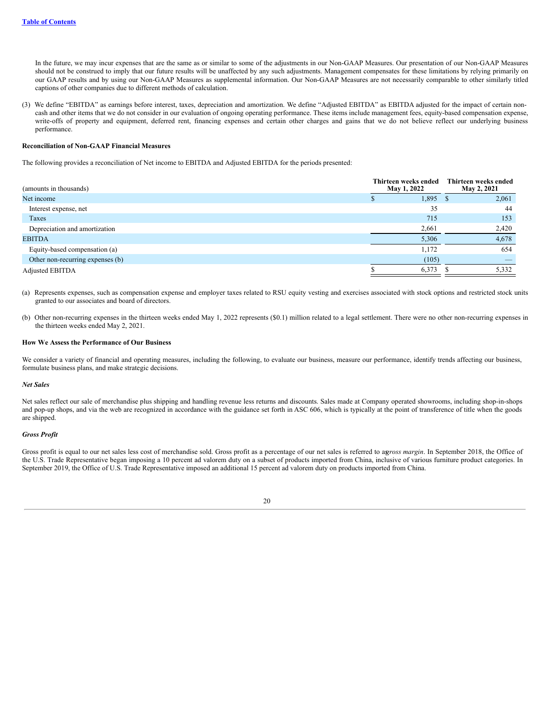In the future, we may incur expenses that are the same as or similar to some of the adjustments in our Non-GAAP Measures. Our presentation of our Non-GAAP Measures should not be construed to imply that our future results will be unaffected by any such adjustments. Management compensates for these limitations by relying primarily on our GAAP results and by using our Non-GAAP Measures as supplemental information. Our Non-GAAP Measures are not necessarily comparable to other similarly titled captions of other companies due to different methods of calculation.

(3) We define "EBITDA" as earnings before interest, taxes, depreciation and amortization. We define "Adjusted EBITDA" as EBITDA adjusted for the impact of certain noncash and other items that we do not consider in our evaluation of ongoing operating performance. These items include management fees, equity-based compensation expense, write-offs of property and equipment, deferred rent, financing expenses and certain other charges and gains that we do not believe reflect our underlying business performance.

# **Reconciliation of Non-GAAP Financial Measures**

The following provides a reconciliation of Net income to EBITDA and Adjusted EBITDA for the periods presented:

| (amounts in thousands)           | Thirteen weeks ended<br>May 1, 2022 | Thirteen weeks ended<br>May 2, 2021 |
|----------------------------------|-------------------------------------|-------------------------------------|
| Net income                       | 1,895                               | 2,061                               |
| Interest expense, net            | 35                                  | 44                                  |
| Taxes                            | 715                                 | 153                                 |
| Depreciation and amortization    | 2,661                               | 2,420                               |
| <b>EBITDA</b>                    | 5,306                               | 4,678                               |
| Equity-based compensation (a)    | 1,172                               | 654                                 |
| Other non-recurring expenses (b) | (105)                               | $\overline{\phantom{a}}$            |
| <b>Adjusted EBITDA</b>           | 6,373                               | 5,332                               |

(a) Represents expenses, such as compensation expense and employer taxes related to RSU equity vesting and exercises associated with stock options and restricted stock units granted to our associates and board of directors.

(b) Other non-recurring expenses in the thirteen weeks ended May 1, 2022 represents (\$0.1) million related to a legal settlement. There were no other non-recurring expenses in the thirteen weeks ended May 2, 2021.

### **How We Assess the Performance of Our Business**

We consider a variety of financial and operating measures, including the following, to evaluate our business, measure our performance, identify trends affecting our business, formulate business plans, and make strategic decisions.

#### *Net Sales*

Net sales reflect our sale of merchandise plus shipping and handling revenue less returns and discounts. Sales made at Company operated showrooms, including shop-in-shops and pop-up shops, and via the web are recognized in accordance with the guidance set forth in ASC 606, which is typically at the point of transference of title when the goods are shipped.

#### *Gross Profit*

Gross profit is equal to our net sales less cost of merchandise sold. Gross profit as a percentage of our net sales is referred to agross margin. In September 2018, the Office of the U.S. Trade Representative began imposing a 10 percent ad valorem duty on a subset of products imported from China, inclusive of various furniture product categories. In September 2019, the Office of U.S. Trade Representative imposed an additional 15 percent ad valorem duty on products imported from China.

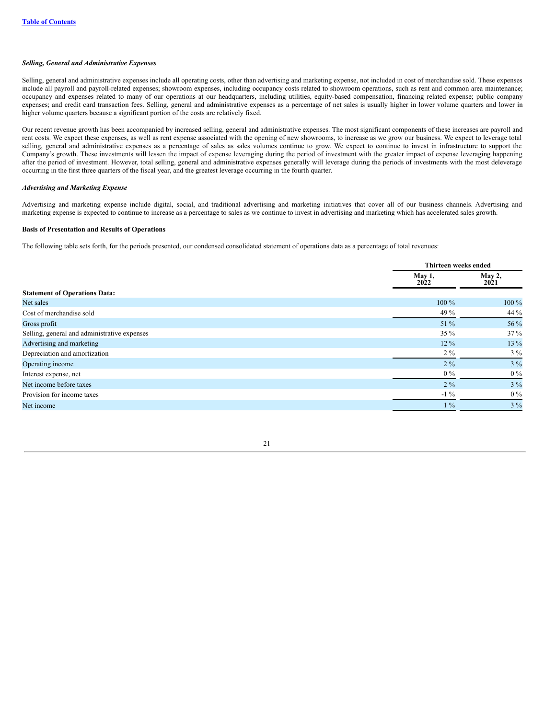### *Selling, General and Administrative Expenses*

Selling, general and administrative expenses include all operating costs, other than advertising and marketing expense, not included in cost of merchandise sold. These expenses include all payroll and payroll-related expenses; showroom expenses, including occupancy costs related to showroom operations, such as rent and common area maintenance; occupancy and expenses related to many of our operations at our headquarters, including utilities, equity-based compensation, financing related expense; public company expenses; and credit card transaction fees. Selling, general and administrative expenses as a percentage of net sales is usually higher in lower volume quarters and lower in higher volume quarters because a significant portion of the costs are relatively fixed.

Our recent revenue growth has been accompanied by increased selling, general and administrative expenses. The most significant components of these increases are payroll and rent costs. We expect these expenses, as well as rent expense associated with the opening of new showrooms, to increase as we grow our business. We expect to leverage total selling, general and administrative expenses as a percentage of sales as sales volumes continue to grow. We expect to continue to invest in infrastructure to support the Company's growth. These investments will lessen the impact of expense leveraging during the period of investment with the greater impact of expense leveraging happening after the period of investment. However, total selling, general and administrative expenses generally will leverage during the periods of investments with the most deleverage occurring in the first three quarters of the fiscal year, and the greatest leverage occurring in the fourth quarter.

#### *Advertising and Marketing Expense*

Advertising and marketing expense include digital, social, and traditional advertising and marketing initiatives that cover all of our business channels. Advertising and marketing expense is expected to continue to increase as a percentage to sales as we continue to invest in advertising and marketing which has accelerated sales growth.

#### **Basis of Presentation and Results of Operations**

The following table sets forth, for the periods presented, our condensed consolidated statement of operations data as a percentage of total revenues:

|                                              |                | Thirteen weeks ended |  |
|----------------------------------------------|----------------|----------------------|--|
|                                              | May 1,<br>2022 | May 2,<br>2021       |  |
| <b>Statement of Operations Data:</b>         |                |                      |  |
| Net sales                                    | $100\%$        | 100 %                |  |
| Cost of merchandise sold                     | 49 %           | 44 %                 |  |
| Gross profit                                 | $51\%$         | 56 %                 |  |
| Selling, general and administrative expenses | $35\%$         | $37\%$               |  |
| Advertising and marketing                    | $12\%$         | 13 %                 |  |
| Depreciation and amortization                | $2\%$          | $3\%$                |  |
| Operating income                             | $2\%$          | $3\%$                |  |
| Interest expense, net                        | $0\%$          | $0\%$                |  |
| Net income before taxes                      | $2\%$          | $3\%$                |  |
| Provision for income taxes                   | $-1\%$         | $0\%$                |  |
| Net income                                   | $1\%$          | $3\%$                |  |

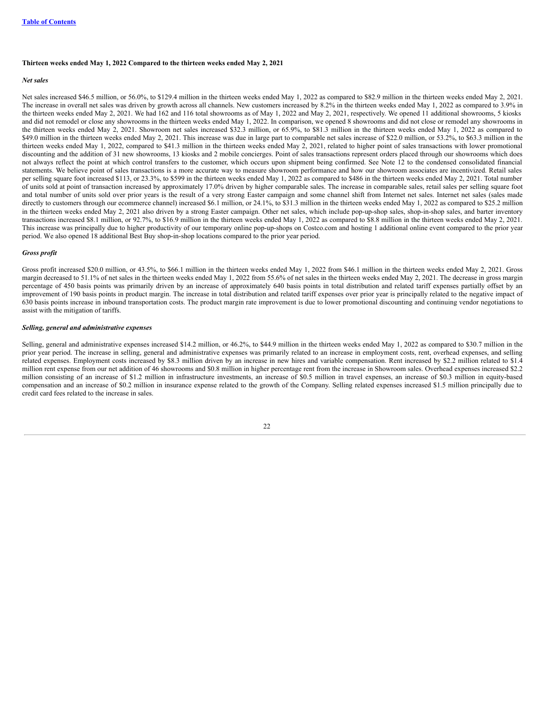### **Thirteen weeks ended May 1, 2022 Compared to the thirteen weeks ended May 2, 2021**

#### *Net sales*

Net sales increased \$46.5 million, or 56.0%, to \$129.4 million in the thirteen weeks ended May 1, 2022 as compared to \$82.9 million in the thirteen weeks ended May 2, 2021. The increase in overall net sales was driven by growth across all channels. New customers increased by 8.2% in the thirteen weeks ended May 1, 2022 as compared to 3.9% in the thirteen weeks ended May 2, 2021. We had 162 and 116 total showrooms as of May 1, 2022 and May 2, 2021, respectively. We opened 11 additional showrooms, 5 kiosks and did not remodel or close any showrooms in the thirteen weeks ended May 1, 2022. In comparison, we opened 8 showrooms and did not close or remodel any showrooms in the thirteen weeks ended May 2, 2021. Showroom net sales increased \$32.3 million, or 65.9%, to \$81.3 million in the thirteen weeks ended May 1, 2022 as compared to \$49.0 million in the thirteen weeks ended May 2, 2021. This increase was due in large part to comparable net sales increase of \$22.0 million, or 53.2%, to \$63.3 million in the thirteen weeks ended May 1, 2022, compared to \$41.3 million in the thirteen weeks ended May 2, 2021, related to higher point of sales transactions with lower promotional discounting and the addition of 31 new showrooms, 13 kiosks and 2 mobile concierges. Point of sales transactions represent orders placed through our showrooms which does not always reflect the point at which control transfers to the customer, which occurs upon shipment being confirmed. See Note 12 to the condensed consolidated financial statements. We believe point of sales transactions is a more accurate way to measure showroom performance and how our showroom associates are incentivized. Retail sales per selling square foot increased \$113, or 23.3%, to \$599 in the thirteen weeks ended May 1, 2022 as compared to \$486 in the thirteen weeks ended May 2, 2021. Total number of units sold at point of transaction increased by approximately 17.0% driven by higher comparable sales. The increase in comparable sales, retail sales per selling square foot and total number of units sold over prior years is the result of a very strong Easter campaign and some channel shift from Internet net sales. Internet net sales (sales made directly to customers through our ecommerce channel) increased \$6.1 million, or 24.1%, to \$31.3 million in the thirteen weeks ended May 1, 2022 as compared to \$25.2 million in the thirteen weeks ended May 2, 2021 also driven by a strong Easter campaign. Other net sales, which include pop-up-shop sales, shop-in-shop sales, and barter inventory transactions increased \$8.1 million, or 92.7%, to \$16.9 million in the thirteen weeks ended May 1, 2022 as compared to \$8.8 million in the thirteen weeks ended May 2, 2021. This increase was principally due to higher productivity of our temporary online pop-up-shops on Costco.com and hosting 1 additional online event compared to the prior year period. We also opened 18 additional Best Buy shop-in-shop locations compared to the prior year period.

#### *Gross profit*

Gross profit increased \$20.0 million, or 43.5%, to \$66.1 million in the thirteen weeks ended May 1, 2022 from \$46.1 million in the thirteen weeks ended May 2, 2021. Gross margin decreased to 51.1% of net sales in the thirteen weeks ended May 1, 2022 from 55.6% of net sales in the thirteen weeks ended May 2, 2021. The decrease in gross margin percentage of 450 basis points was primarily driven by an increase of approximately 640 basis points in total distribution and related tariff expenses partially offset by an improvement of 190 basis points in product margin. The increase in total distribution and related tariff expenses over prior year is principally related to the negative impact of 630 basis points increase in inbound transportation costs. The product margin rate improvement is due to lower promotional discounting and continuing vendor negotiations to assist with the mitigation of tariffs.

#### *Selling, general and administrative expenses*

Selling, general and administrative expenses increased \$14.2 million, or 46.2%, to \$44.9 million in the thirteen weeks ended May 1, 2022 as compared to \$30.7 million in the prior year period. The increase in selling, general and administrative expenses was primarily related to an increase in employment costs, rent, overhead expenses, and selling related expenses. Employment costs increased by \$8.3 million driven by an increase in new hires and variable compensation. Rent increased by \$2.2 million related to \$1.4 million rent expense from our net addition of 46 showrooms and \$0.8 million in higher percentage rent from the increase in Showroom sales. Overhead expenses increased \$2.2 million consisting of an increase of \$1.2 million in infrastructure investments, an increase of \$0.5 million in travel expenses, an increase of \$0.3 million in equity-based compensation and an increase of \$0.2 million in insurance expense related to the growth of the Company. Selling related expenses increased \$1.5 million principally due to credit card fees related to the increase in sales.

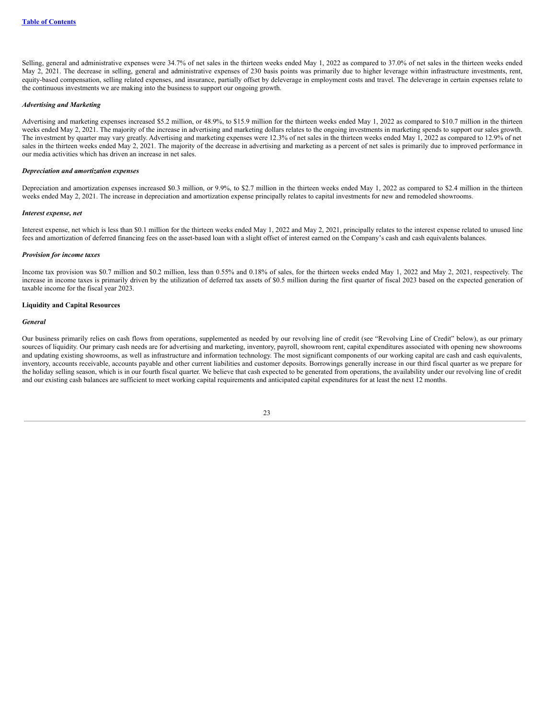Selling, general and administrative expenses were 34.7% of net sales in the thirteen weeks ended May 1, 2022 as compared to 37.0% of net sales in the thirteen weeks ended May 2, 2021. The decrease in selling, general and administrative expenses of 230 basis points was primarily due to higher leverage within infrastructure investments, rent, equity-based compensation, selling related expenses, and insurance, partially offset by deleverage in employment costs and travel. The deleverage in certain expenses relate to the continuous investments we are making into the business to support our ongoing growth.

#### *Advertising and Marketing*

Advertising and marketing expenses increased \$5.2 million, or 48.9%, to \$15.9 million for the thirteen weeks ended May 1, 2022 as compared to \$10.7 million in the thirteen weeks ended May 2, 2021. The majority of the increase in advertising and marketing dollars relates to the ongoing investments in marketing spends to support our sales growth. The investment by quarter may vary greatly. Advertising and marketing expenses were 12.3% of net sales in the thirteen weeks ended May 1, 2022 as compared to 12.9% of net sales in the thirteen weeks ended May 2, 2021. The majority of the decrease in advertising and marketing as a percent of net sales is primarily due to improved performance in our media activities which has driven an increase in net sales.

#### *Depreciation and amortization expenses*

Depreciation and amortization expenses increased \$0.3 million, or 9.9%, to \$2.7 million in the thirteen weeks ended May 1, 2022 as compared to \$2.4 million in the thirteen weeks ended May 2, 2021. The increase in depreciation and amortization expense principally relates to capital investments for new and remodeled showrooms.

#### *Interest expense, net*

Interest expense, net which is less than \$0.1 million for the thirteen weeks ended May 1, 2022 and May 2, 2021, principally relates to the interest expense related to unused line fees and amortization of deferred financing fees on the asset-based loan with a slight offset of interest earned on the Company's cash and cash equivalents balances.

#### *Provision for income taxes*

Income tax provision was \$0.7 million and \$0.2 million, less than 0.55% and 0.18% of sales, for the thirteen weeks ended May 1, 2022 and May 2, 2021, respectively. The increase in income taxes is primarily driven by the utilization of deferred tax assets of \$0.5 million during the first quarter of fiscal 2023 based on the expected generation of taxable income for the fiscal year 2023.

#### **Liquidity and Capital Resources**

#### *General*

Our business primarily relies on cash flows from operations, supplemented as needed by our revolving line of credit (see "Revolving Line of Credit" below), as our primary sources of liquidity. Our primary cash needs are for advertising and marketing, inventory, payroll, showroom rent, capital expenditures associated with opening new showrooms and updating existing showrooms, as well as infrastructure and information technology. The most significant components of our working capital are cash and cash equivalents, inventory, accounts receivable, accounts payable and other current liabilities and customer deposits. Borrowings generally increase in our third fiscal quarter as we prepare for the holiday selling season, which is in our fourth fiscal quarter. We believe that cash expected to be generated from operations, the availability under our revolving line of credit and our existing cash balances are sufficient to meet working capital requirements and anticipated capital expenditures for at least the next 12 months.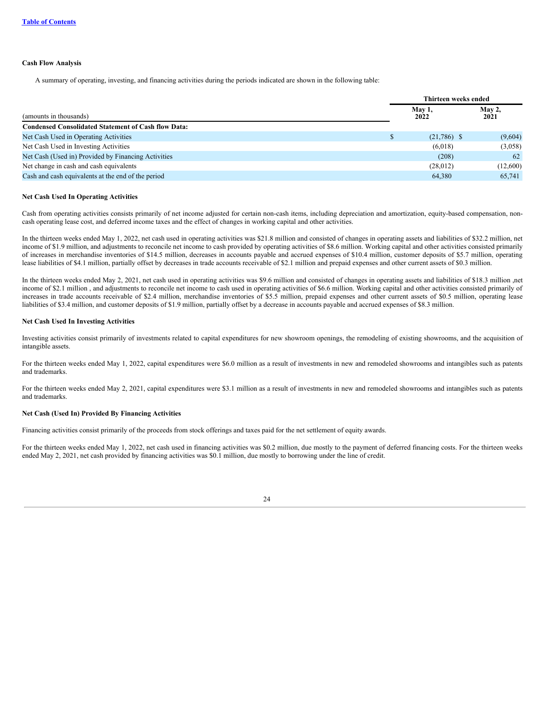### **Cash Flow Analysis**

A summary of operating, investing, and financing activities during the periods indicated are shown in the following table:

| (amounts in thousands)                                     |  | Thirteen weeks ended |                |  |
|------------------------------------------------------------|--|----------------------|----------------|--|
|                                                            |  | May 1,<br>2022       | May 2,<br>2021 |  |
| <b>Condensed Consolidated Statement of Cash flow Data:</b> |  |                      |                |  |
| Net Cash Used in Operating Activities                      |  | $(21,786)$ \$        | (9,604)        |  |
| Net Cash Used in Investing Activities                      |  | (6,018)              | (3,058)        |  |
| Net Cash (Used in) Provided by Financing Activities        |  | (208)                | 62             |  |
| Net change in cash and cash equivalents                    |  | (28,012)             | (12,600)       |  |
| Cash and cash equivalents at the end of the period         |  | 64,380               | 65,741         |  |

### **Net Cash Used In Operating Activities**

Cash from operating activities consists primarily of net income adjusted for certain non-cash items, including depreciation and amortization, equity-based compensation, noncash operating lease cost, and deferred income taxes and the effect of changes in working capital and other activities.

In the thirteen weeks ended May 1, 2022, net cash used in operating activities was \$21.8 million and consisted of changes in operating assets and liabilities of \$32.2 million, net income of \$1.9 million, and adjustments to reconcile net income to cash provided by operating activities of \$8.6 million. Working capital and other activities consisted primarily of increases in merchandise inventories of \$14.5 million, decreases in accounts payable and accrued expenses of \$10.4 million, customer deposits of \$5.7 million, operating lease liabilities of \$4.1 million, partially offset by decreases in trade accounts receivable of \$2.1 million and prepaid expenses and other current assets of \$0.3 million.

In the thirteen weeks ended May 2, 2021, net cash used in operating activities was \$9.6 million and consisted of changes in operating assets and liabilities of \$18.3 million ,net income of \$2.1 million, and adjustments to reconcile net income to cash used in operating activities of \$6.6 million. Working capital and other activities consisted primarily of increases in trade accounts receivable of \$2.4 million, merchandise inventories of \$5.5 million, prepaid expenses and other current assets of \$0.5 million, operating lease liabilities of \$3.4 million, and customer deposits of \$1.9 million, partially offset by a decrease in accounts payable and accrued expenses of \$8.3 million.

### **Net Cash Used In Investing Activities**

Investing activities consist primarily of investments related to capital expenditures for new showroom openings, the remodeling of existing showrooms, and the acquisition of intangible assets.

For the thirteen weeks ended May 1, 2022, capital expenditures were \$6.0 million as a result of investments in new and remodeled showrooms and intangibles such as patents and trademarks.

For the thirteen weeks ended May 2, 2021, capital expenditures were \$3.1 million as a result of investments in new and remodeled showrooms and intangibles such as patents and trademarks.

# **Net Cash (Used In) Provided By Financing Activities**

Financing activities consist primarily of the proceeds from stock offerings and taxes paid for the net settlement of equity awards.

For the thirteen weeks ended May 1, 2022, net cash used in financing activities was \$0.2 million, due mostly to the payment of deferred financing costs. For the thirteen weeks ended May 2, 2021, net cash provided by financing activities was \$0.1 million, due mostly to borrowing under the line of credit.

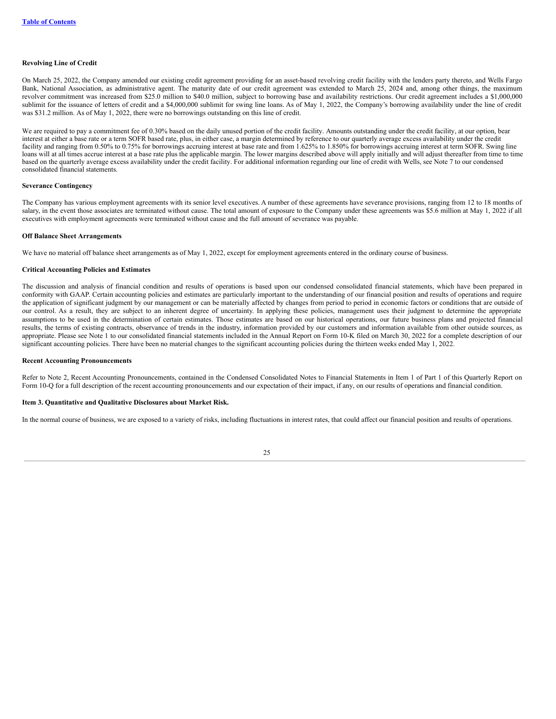#### **Revolving Line of Credit**

On March 25, 2022, the Company amended our existing credit agreement providing for an asset-based revolving credit facility with the lenders party thereto, and Wells Fargo Bank, National Association, as administrative agent. The maturity date of our credit agreement was extended to March 25, 2024 and, among other things, the maximum revolver commitment was increased from \$25.0 million to \$40.0 million, subject to borrowing base and availability restrictions. Our credit agreement includes a \$1,000,000 sublimit for the issuance of letters of credit and a \$4,000,000 sublimit for swing line loans. As of May 1, 2022, the Company's borrowing availability under the line of credit was \$31.2 million. As of May 1, 2022, there were no borrowings outstanding on this line of credit.

We are required to pay a commitment fee of 0.30% based on the daily unused portion of the credit facility. Amounts outstanding under the credit facility, at our option, bear interest at either a base rate or a term SOFR based rate, plus, in either case, a margin determined by reference to our quarterly average excess availability under the credit facility and ranging from 0.50% to 0.75% for borrowings accruing interest at base rate and from 1.625% to 1.850% for borrowings accruing interest at term SOFR. Swing line loans will at all times accrue interest at a base rate plus the applicable margin. The lower margins described above will apply initially and will adjust thereafter from time to time based on the quarterly average excess availability under the credit facility. For additional information regarding our line of credit with Wells, see Note 7 to our condensed consolidated financial statements.

#### **Severance Contingency**

The Company has various employment agreements with its senior level executives. A number of these agreements have severance provisions, ranging from 12 to 18 months of salary, in the event those associates are terminated without cause. The total amount of exposure to the Company under these agreements was \$5.6 million at May 1, 2022 if all executives with employment agreements were terminated without cause and the full amount of severance was payable.

### **Off Balance Sheet Arrangements**

We have no material off balance sheet arrangements as of May 1, 2022, except for employment agreements entered in the ordinary course of business.

#### **Critical Accounting Policies and Estimates**

The discussion and analysis of financial condition and results of operations is based upon our condensed consolidated financial statements, which have been prepared in conformity with GAAP. Certain accounting policies and estimates are particularly important to the understanding of our financial position and results of operations and require the application of significant judgment by our management or can be materially affected by changes from period to period in economic factors or conditions that are outside of our control. As a result, they are subject to an inherent degree of uncertainty. In applying these policies, management uses their judgment to determine the appropriate assumptions to be used in the determination of certain estimates. Those estimates are based on our historical operations, our future business plans and projected financial results, the terms of existing contracts, observance of trends in the industry, information provided by our customers and information available from other outside sources, as appropriate. Please see Note 1 to our consolidated financial statements included in the Annual Report on Form 10-K filed on March 30, 2022 for a complete description of our significant accounting policies. There have been no material changes to the significant accounting policies during the thirteen weeks ended May 1, 2022.

#### **Recent Accounting Pronouncements**

Refer to Note 2, Recent Accounting Pronouncements, contained in the Condensed Consolidated Notes to Financial Statements in Item 1 of Part 1 of this Quarterly Report on Form 10-Q for a full description of the recent accounting pronouncements and our expectation of their impact, if any, on our results of operations and financial condition.

# <span id="page-28-0"></span>**Item 3. Quantitative and Qualitative Disclosures about Market Risk.**

In the normal course of business, we are exposed to a variety of risks, including fluctuations in interest rates, that could affect our financial position and results of operations.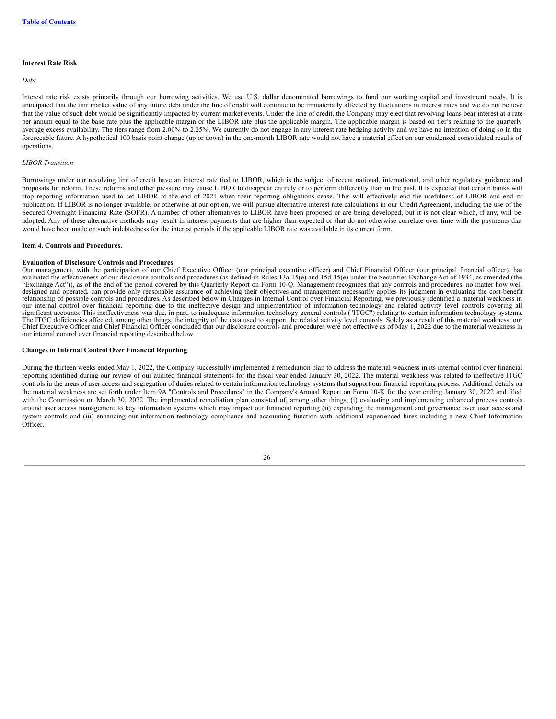### **Interest Rate Risk**

#### *Debt*

Interest rate risk exists primarily through our borrowing activities. We use U.S. dollar denominated borrowings to fund our working capital and investment needs. It is anticipated that the fair market value of any future debt under the line of credit will continue to be immaterially affected by fluctuations in interest rates and we do not believe that the value of such debt would be significantly impacted by current market events. Under the line of credit, the Company may elect that revolving loans bear interest at a rate per annum equal to the base rate plus the applicable margin or the LIBOR rate plus the applicable margin. The applicable margin is based on tier's relating to the quarterly average excess availability. The tiers range from 2.00% to 2.25%. We currently do not engage in any interest rate hedging activity and we have no intention of doing so in the foreseeable future. A hypothetical 100 basis point change (up or down) in the one-month LIBOR rate would not have a material effect on our condensed consolidated results of operations.

## *LIBOR Transition*

Borrowings under our revolving line of credit have an interest rate tied to LIBOR, which is the subject of recent national, international, and other regulatory guidance and proposals for reform. These reforms and other pressure may cause LIBOR to disappear entirely or to perform differently than in the past. It is expected that certain banks will stop reporting information used to set LIBOR at the end of 2021 when their reporting obligations cease. This will effectively end the usefulness of LIBOR and end its publication. If LIBOR is no longer available, or otherwise at our option, we will pursue alternative interest rate calculations in our Credit Agreement, including the use of the Secured Overnight Financing Rate (SOFR). A number of other alternatives to LIBOR have been proposed or are being developed, but it is not clear which, if any, will be adopted. Any of these alternative methods may result in interest payments that are higher than expected or that do not otherwise correlate over time with the payments that would have been made on such indebtedness for the interest periods if the applicable LIBOR rate was available in its current form.

#### <span id="page-29-0"></span>**Item 4. Controls and Procedures.**

#### **Evaluation of Disclosure Controls and Procedures**

Our management, with the participation of our Chief Executive Officer (our principal executive officer) and Chief Financial Officer (our principal financial officer), has evaluated the effectiveness of our disclosure controls and procedures (as defined in Rules 13a-15(e) and 15d-15(e) under the Securities Exchange Act of 1934, as amended (the "Exchange Act")), as of the end of the period covered by this Quarterly Report on Form 10-Q. Management recognizes that any controls and procedures, no matter how well designed and operated, can provide only reasonable assurance of achieving their objectives and management necessarily applies its judgment in evaluating the cost-benefit relationship of possible controls and procedures. As described below in Changes in Internal Control over Financial Reporting, we previously identified a material weakness in our internal control over financial reporting due to the ineffective design and implementation of information technology and related activity level controls covering all significant accounts. This ineffectiveness was due, in part, to inadequate information technology general controls ("ITGC") relating to certain information technology systems.<br>The ITGC deficiencies affected, among other th Chief Executive Officer and Chief Financial Officer concluded that our disclosure controls and procedures were not effective as of May 1, 2022 due to the material weakness in our internal control over financial reporting described below.

### **Changes in Internal Control Over Financial Reporting**

During the thirteen weeks ended May 1, 2022, the Company successfully implemented a remediation plan to address the material weakness in its internal control over financial reporting identified during our review of our audited financial statements for the fiscal year ended January 30, 2022. The material weakness was related to ineffective ITGC controls in the areas of user access and segregation of duties related to certain information technology systems that support our financial reporting process. Additional details on the material weakness are set forth under Item 9A "Controls and Procedures" in the Company's Annual Report on Form 10-K for the year ending January 30, 2022 and filed with the Commission on March 30, 2022. The implemented remediation plan consisted of, among other things, (i) evaluating and implementing enhanced process controls around user access management to key information systems which may impact our financial reporting (ii) expanding the management and governance over user access and system controls and (iii) enhancing our information technology compliance and accounting function with additional experienced hires including a new Chief Information Officer.

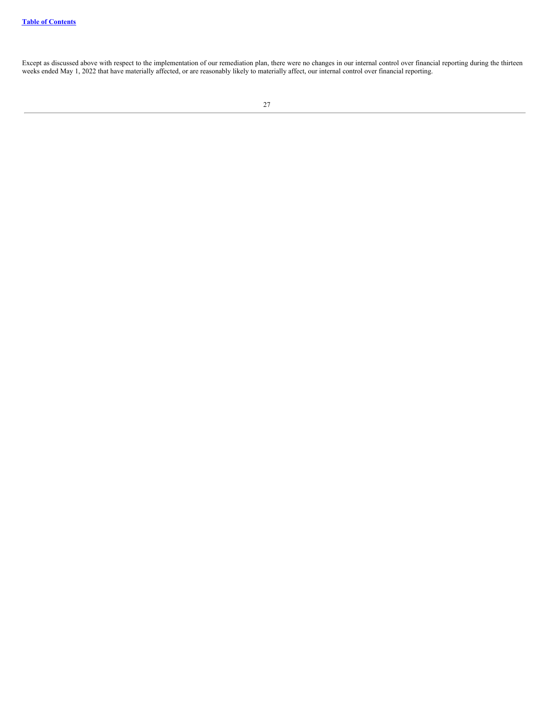<span id="page-30-0"></span>Except as discussed above with respect to the implementation of our remediation plan, there were no changes in our internal control over financial reporting during the thirteen weeks ended May 1, 2022 that have materially affected, or are reasonably likely to materially affect, our internal control over financial reporting.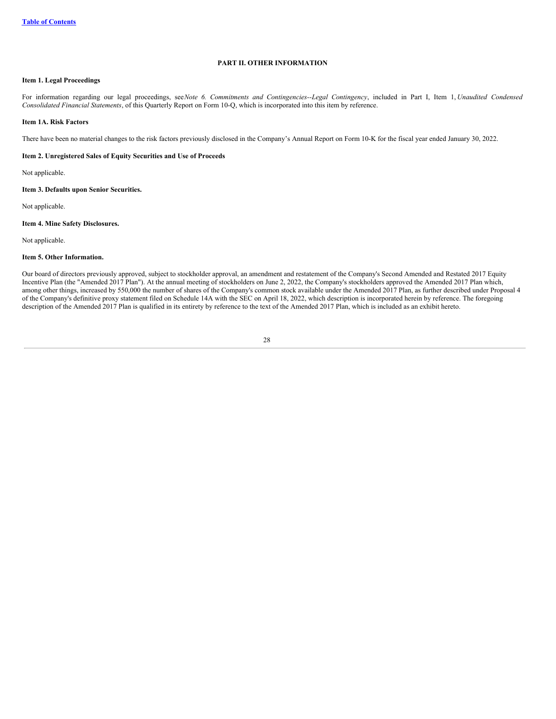# **PART II. OTHER INFORMATION**

# <span id="page-31-0"></span>**Item 1. Legal Proceedings**

For information regarding our legal proceedings, see*Note 6. Commitments and Contingencies--Legal Contingency*, included in Part I, Item 1, *Unaudited Condensed Consolidated Financial Statements*, of this Quarterly Report on Form 10-Q, which is incorporated into this item by reference.

### <span id="page-31-1"></span>**Item 1A. Risk Factors**

<span id="page-31-2"></span>There have been no material changes to the risk factors previously disclosed in the Company's Annual Report on Form 10-K for the fiscal year ended January 30, 2022.

## **Item 2. Unregistered Sales of Equity Securities and Use of Proceeds**

<span id="page-31-3"></span>Not applicable.

### **Item 3. Defaults upon Senior Securities.**

<span id="page-31-4"></span>Not applicable.

# **Item 4. Mine Safety Disclosures.**

<span id="page-31-5"></span>Not applicable.

### **Item 5. Other Information.**

<span id="page-31-6"></span>Our board of directors previously approved, subject to stockholder approval, an amendment and restatement of the Company's Second Amended and Restated 2017 Equity Incentive Plan (the "Amended 2017 Plan"). At the annual meeting of stockholders on June 2, 2022, the Company's stockholders approved the Amended 2017 Plan which, among other things, increased by 550,000 the number of shares of the Company's common stock available under the Amended 2017 Plan, as further described under Proposal 4 of the Company's definitive proxy statement filed on Schedule 14A with the SEC on April 18, 2022, which description is incorporated herein by reference. The foregoing description of the Amended 2017 Plan is qualified in its entirety by reference to the text of the Amended 2017 Plan, which is included as an exhibit hereto.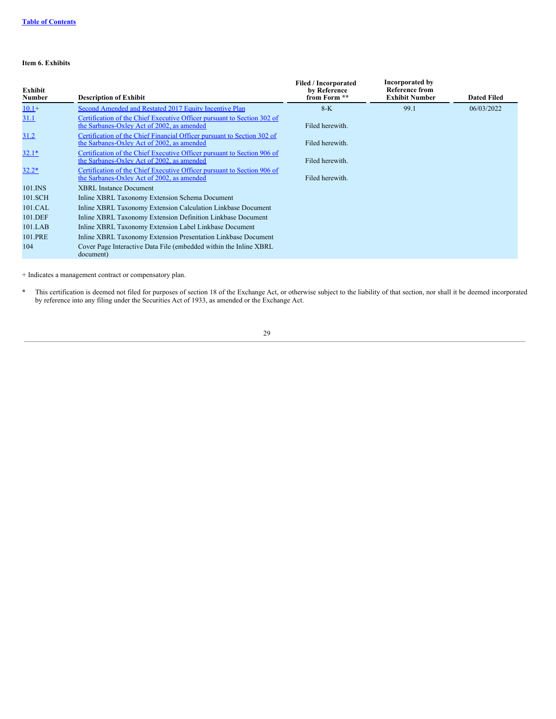# **Item 6. Exhibits**

| Exhibit<br>Number | <b>Description of Exhibit</b>                                                                                         | <b>Filed / Incorporated</b><br>by Reference<br>from Form ** | Incorporated by<br><b>Reference from</b><br><b>Exhibit Number</b> | <b>Dated Filed</b> |
|-------------------|-----------------------------------------------------------------------------------------------------------------------|-------------------------------------------------------------|-------------------------------------------------------------------|--------------------|
| $10.1+$           | Second Amended and Restated 2017 Equity Incentive Plan                                                                | $8-K$                                                       | 99.1                                                              | 06/03/2022         |
| 31.1              | Certification of the Chief Executive Officer pursuant to Section 302 of<br>the Sarbanes-Oxley Act of 2002, as amended | Filed herewith.                                             |                                                                   |                    |
| 31.2              | Certification of the Chief Financial Officer pursuant to Section 302 of<br>the Sarbanes-Oxley Act of 2002, as amended | Filed herewith.                                             |                                                                   |                    |
| $32.1*$           | Certification of the Chief Executive Officer pursuant to Section 906 of<br>the Sarbanes-Oxley Act of 2002, as amended | Filed herewith.                                             |                                                                   |                    |
| $32.2*$           | Certification of the Chief Executive Officer pursuant to Section 906 of<br>the Sarbanes-Oxley Act of 2002, as amended | Filed herewith.                                             |                                                                   |                    |
| $101$ . INS       | <b>XBRL</b> Instance Document                                                                                         |                                                             |                                                                   |                    |
| 101.SCH           | Inline XBRL Taxonomy Extension Schema Document                                                                        |                                                             |                                                                   |                    |
| 101.CAL           | Inline XBRL Taxonomy Extension Calculation Linkbase Document                                                          |                                                             |                                                                   |                    |
| 101.DEF           | Inline XBRL Taxonomy Extension Definition Linkbase Document                                                           |                                                             |                                                                   |                    |
| 101.LAB           | Inline XBRL Taxonomy Extension Label Linkbase Document                                                                |                                                             |                                                                   |                    |
| 101.PRE           | Inline XBRL Taxonomy Extension Presentation Linkbase Document                                                         |                                                             |                                                                   |                    |
| 104               | Cover Page Interactive Data File (embedded within the Inline XBRL<br>document)                                        |                                                             |                                                                   |                    |

+ Indicates a management contract or compensatory plan.

\* This certification is deemed not filed for purposes of section 18 of the Exchange Act, or otherwise subject to the liability of that section, nor shall it be deemed incorporated by reference into any filing under the Securities Act of 1933, as amended or the Exchange Act.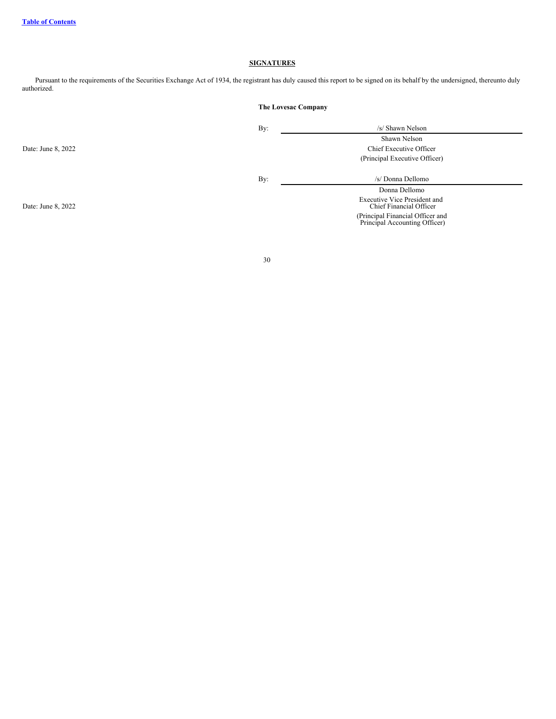# **SIGNATURES**

Pursuant to the requirements of the Securities Exchange Act of 1934, the registrant has duly caused this report to be signed on its behalf by the undersigned, thereunto duly authorized.

# **The Lovesac Company**

Date: June 8, 2022

By: /s/ Shawn Nelson Shawn Nelson Date: June 8, 2022 Chief Executive Officer (Principal Executive Officer)

> By:  $\frac{1}{s}$  Donna Dellomo Donna Dellomo Executive Vice President and Chief Financial Officer (Principal Financial Officer and Principal Accounting Officer)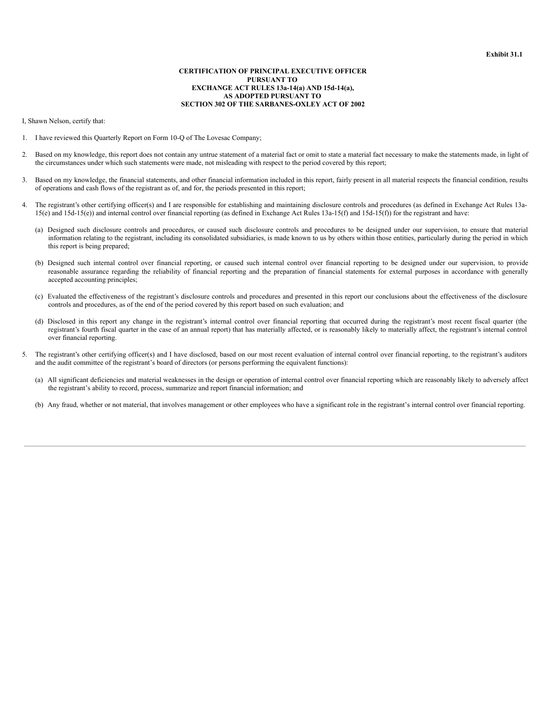### **CERTIFICATION OF PRINCIPAL EXECUTIVE OFFICER PURSUANT TO EXCHANGE ACT RULES 13a-14(a) AND 15d-14(a), AS ADOPTED PURSUANT TO SECTION 302 OF THE SARBANES-OXLEY ACT OF 2002**

<span id="page-34-0"></span>I, Shawn Nelson, certify that:

- 1. I have reviewed this Quarterly Report on Form 10-Q of The Lovesac Company;
- 2. Based on my knowledge, this report does not contain any untrue statement of a material fact or omit to state a material fact necessary to make the statements made, in light of the circumstances under which such statements were made, not misleading with respect to the period covered by this report;
- 3. Based on my knowledge, the financial statements, and other financial information included in this report, fairly present in all material respects the financial condition, results of operations and cash flows of the registrant as of, and for, the periods presented in this report;
- 4. The registrant's other certifying officer(s) and I are responsible for establishing and maintaining disclosure controls and procedures (as defined in Exchange Act Rules 13a- $15(e)$  and  $15d-15(e)$  and internal control over financial reporting (as defined in Exchange Act Rules  $13a-15(f)$  and  $15d-15(f)$ ) for the registrant and have:
	- (a) Designed such disclosure controls and procedures, or caused such disclosure controls and procedures to be designed under our supervision, to ensure that material information relating to the registrant, including its consolidated subsidiaries, is made known to us by others within those entities, particularly during the period in which this report is being prepared;
	- (b) Designed such internal control over financial reporting, or caused such internal control over financial reporting to be designed under our supervision, to provide reasonable assurance regarding the reliability of financial reporting and the preparation of financial statements for external purposes in accordance with generally accepted accounting principles;
	- (c) Evaluated the effectiveness of the registrant's disclosure controls and procedures and presented in this report our conclusions about the effectiveness of the disclosure controls and procedures, as of the end of the period covered by this report based on such evaluation; and
	- (d) Disclosed in this report any change in the registrant's internal control over financial reporting that occurred during the registrant's most recent fiscal quarter (the registrant's fourth fiscal quarter in the case of an annual report) that has materially affected, or is reasonably likely to materially affect, the registrant's internal control over financial reporting.
- 5. The registrant's other certifying officer(s) and I have disclosed, based on our most recent evaluation of internal control over financial reporting, to the registrant's auditors and the audit committee of the registrant's board of directors (or persons performing the equivalent functions):
	- (a) All significant deficiencies and material weaknesses in the design or operation of internal control over financial reporting which are reasonably likely to adversely affect the registrant's ability to record, process, summarize and report financial information; and
	- (b) Any fraud, whether or not material, that involves management or other employees who have a significant role in the registrant's internal control over financial reporting.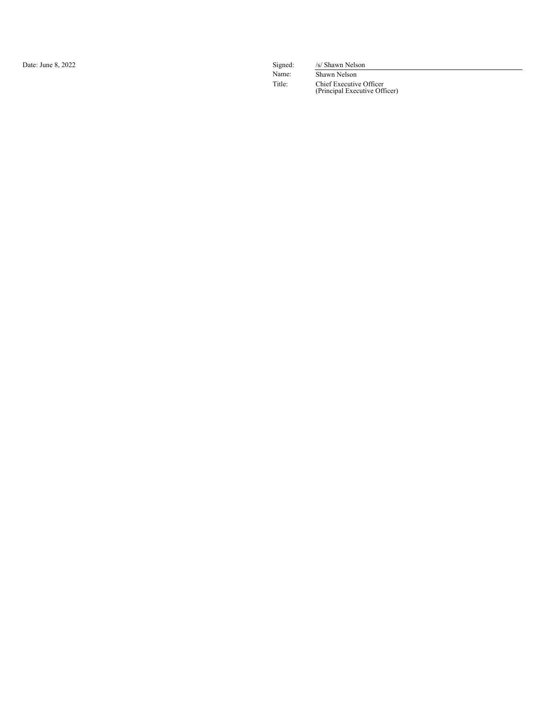Date: June 8, 2022

Signed: /s N a m

Titlo

s/ Shawn Nelson

e: Shawn Nelson e: Chief Executive Officer<br>(Principal Executive Officer)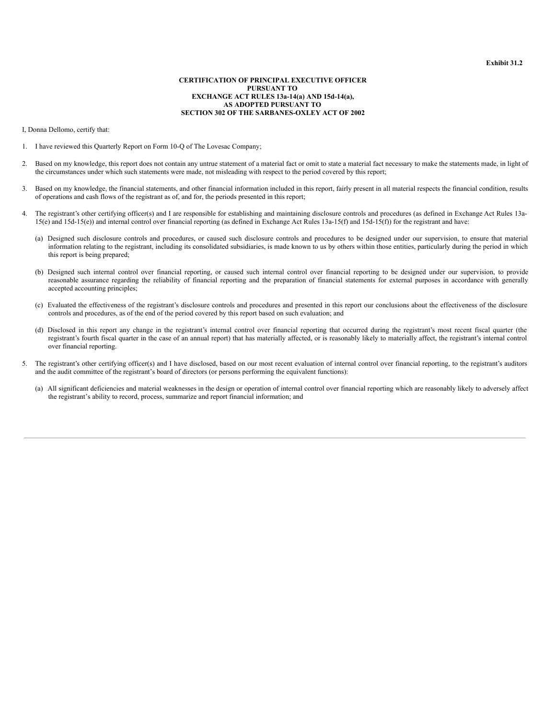### **CERTIFICATION OF PRINCIPAL EXECUTIVE OFFICER PURSUANT TO EXCHANGE ACT RULES 13a-14(a) AND 15d-14(a), AS ADOPTED PURSUANT TO SECTION 302 OF THE SARBANES-OXLEY ACT OF 2002**

<span id="page-36-0"></span>I, Donna Dellomo, certify that:

- 1. I have reviewed this Quarterly Report on Form 10-Q of The Lovesac Company;
- 2. Based on my knowledge, this report does not contain any untrue statement of a material fact or omit to state a material fact necessary to make the statements made, in light of the circumstances under which such statements were made, not misleading with respect to the period covered by this report;
- 3. Based on my knowledge, the financial statements, and other financial information included in this report, fairly present in all material respects the financial condition, results of operations and cash flows of the registrant as of, and for, the periods presented in this report;
- 4. The registrant's other certifying officer(s) and I are responsible for establishing and maintaining disclosure controls and procedures (as defined in Exchange Act Rules 13a-15(e) and 15d-15(e)) and internal control over financial reporting (as defined in Exchange Act Rules 13a-15(f) and 15d-15(f)) for the registrant and have:
	- (a) Designed such disclosure controls and procedures, or caused such disclosure controls and procedures to be designed under our supervision, to ensure that material information relating to the registrant, including its consolidated subsidiaries, is made known to us by others within those entities, particularly during the period in which this report is being prepared;
	- (b) Designed such internal control over financial reporting, or caused such internal control over financial reporting to be designed under our supervision, to provide reasonable assurance regarding the reliability of financial reporting and the preparation of financial statements for external purposes in accordance with generally accepted accounting principles;
	- (c) Evaluated the effectiveness of the registrant's disclosure controls and procedures and presented in this report our conclusions about the effectiveness of the disclosure controls and procedures, as of the end of the period covered by this report based on such evaluation; and
	- (d) Disclosed in this report any change in the registrant's internal control over financial reporting that occurred during the registrant's most recent fiscal quarter (the registrant's fourth fiscal quarter in the case of an annual report) that has materially affected, or is reasonably likely to materially affect, the registrant's internal control over financial reporting.
- 5. The registrant's other certifying officer(s) and I have disclosed, based on our most recent evaluation of internal control over financial reporting, to the registrant's auditors and the audit committee of the registrant's board of directors (or persons performing the equivalent functions):
	- (a) All significant deficiencies and material weaknesses in the design or operation of internal control over financial reporting which are reasonably likely to adversely affect the registrant's ability to record, process, summarize and report financial information; and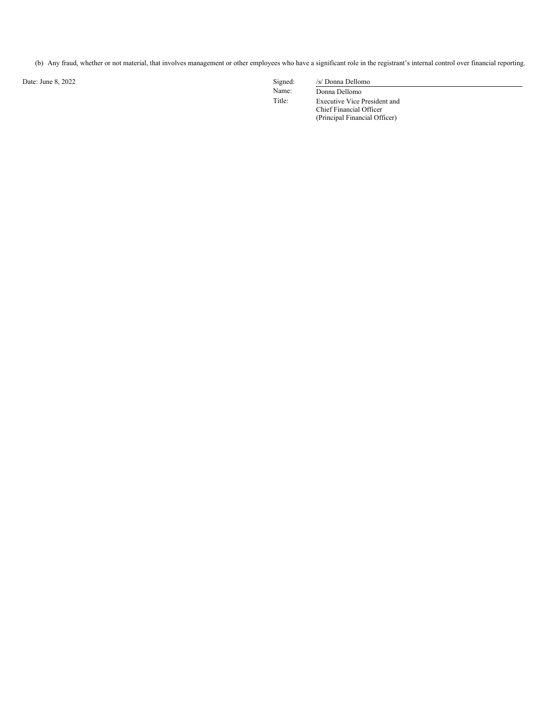(b) Any fraud, whether or not material, that involves management or other employees who have a significant role in the registrant's internal control over financial reporting.

Date: June 8, 2022 Signed: /s/ Donna Dellomo

Name: Donna Dellomo Title: Executive Vice President and Chief Financial Officer (Principal Financial Officer)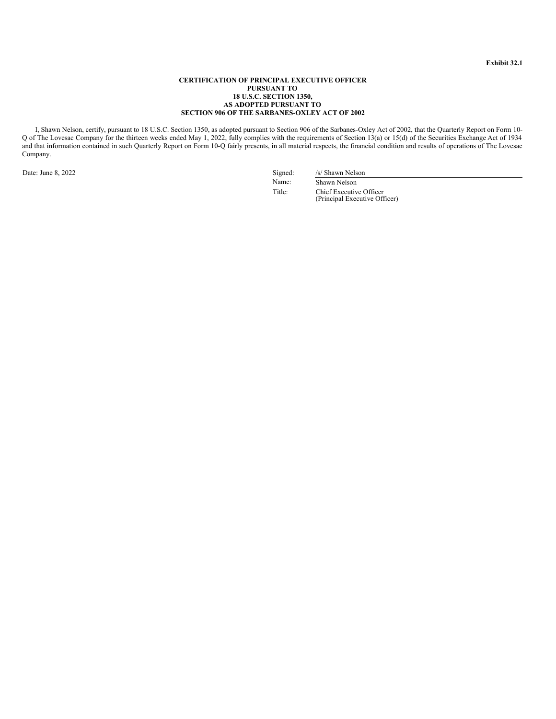### **CERTIFICATION OF PRINCIPAL EXECUTIVE OFFICER PURSUANT TO 18 U.S.C. SECTION 1350, AS ADOPTED PURSUANT TO SECTION 906 OF THE SARBANES-OXLEY ACT OF 2002**

<span id="page-38-0"></span>I, Shawn Nelson, certify, pursuant to 18 U.S.C. Section 1350, as adopted pursuant to Section 906 of the Sarbanes-Oxley Act of 2002, that the Quarterly Report on Form 10- Q of The Lovesac Company for the thirteen weeks ended May 1, 2022, fully complies with the requirements of Section 13(a) or 15(d) of the Securities Exchange Act of 1934 and that information contained in such Quarterly Report on Form 10-Q fairly presents, in all material respects, the financial condition and results of operations of The Lovesac Company.

Date: June 8, 2022 Signed: /s/ Shawn Nelson

Name: Shawn Nelson Title: Chief Executive Officer (Principal Executive Officer)